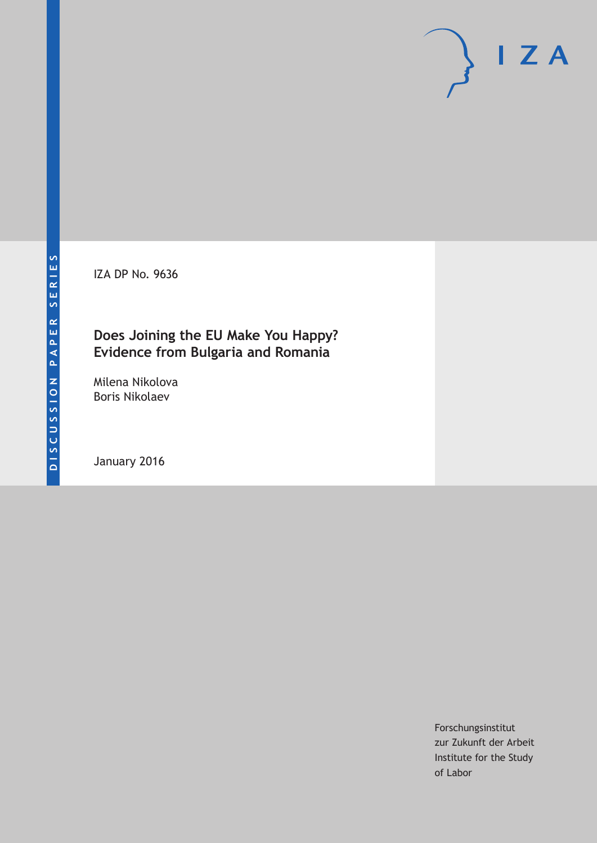IZA DP No. 9636

# **Does Joining the EU Make You Happy? Evidence from Bulgaria and Romania**

Milena Nikolova Boris Nikolaev

January 2016

Forschungsinstitut zur Zukunft der Arbeit Institute for the Study of Labor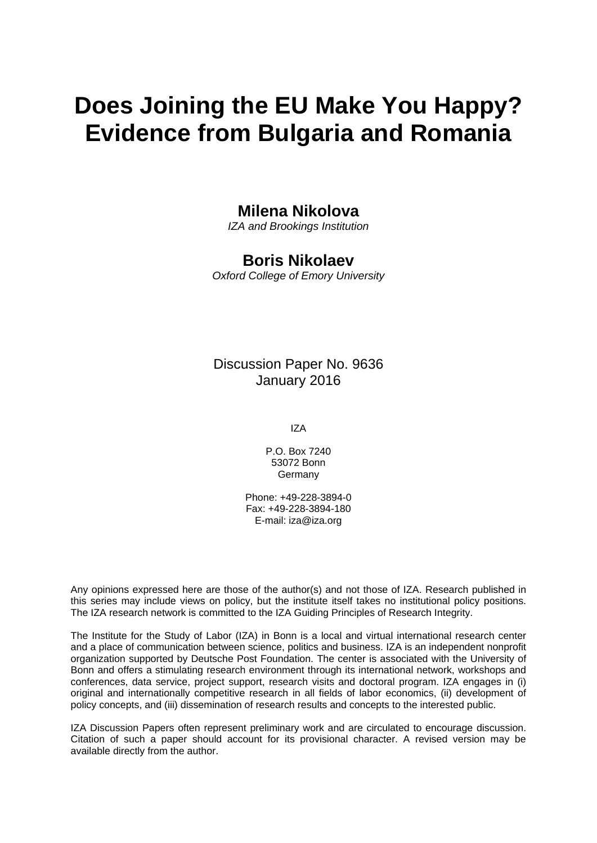# **Does Joining the EU Make You Happy? Evidence from Bulgaria and Romania**

# **Milena Nikolova**

*IZA and Brookings Institution* 

# **Boris Nikolaev**

*Oxford College of Emory University* 

# Discussion Paper No. 9636 January 2016

IZA

P.O. Box 7240 53072 Bonn Germany

Phone: +49-228-3894-0 Fax: +49-228-3894-180 E-mail: iza@iza.org

Any opinions expressed here are those of the author(s) and not those of IZA. Research published in this series may include views on policy, but the institute itself takes no institutional policy positions. The IZA research network is committed to the IZA Guiding Principles of Research Integrity.

The Institute for the Study of Labor (IZA) in Bonn is a local and virtual international research center and a place of communication between science, politics and business. IZA is an independent nonprofit organization supported by Deutsche Post Foundation. The center is associated with the University of Bonn and offers a stimulating research environment through its international network, workshops and conferences, data service, project support, research visits and doctoral program. IZA engages in (i) original and internationally competitive research in all fields of labor economics, (ii) development of policy concepts, and (iii) dissemination of research results and concepts to the interested public.

IZA Discussion Papers often represent preliminary work and are circulated to encourage discussion. Citation of such a paper should account for its provisional character. A revised version may be available directly from the author.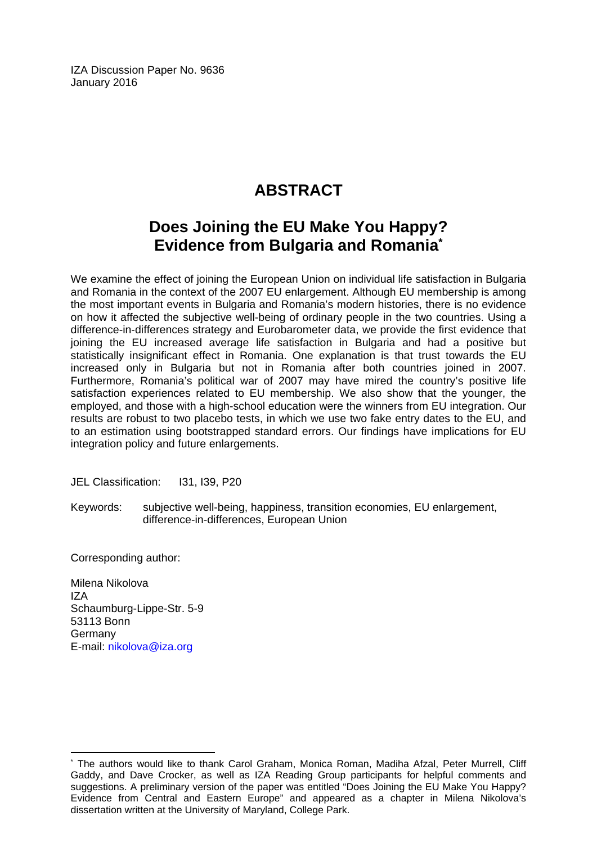IZA Discussion Paper No. 9636 January 2016

# **ABSTRACT**

# **Does Joining the EU Make You Happy? Evidence from Bulgaria and Romania\***

We examine the effect of joining the European Union on individual life satisfaction in Bulgaria and Romania in the context of the 2007 EU enlargement. Although EU membership is among the most important events in Bulgaria and Romania's modern histories, there is no evidence on how it affected the subjective well-being of ordinary people in the two countries. Using a difference-in-differences strategy and Eurobarometer data, we provide the first evidence that joining the EU increased average life satisfaction in Bulgaria and had a positive but statistically insignificant effect in Romania. One explanation is that trust towards the EU increased only in Bulgaria but not in Romania after both countries joined in 2007. Furthermore, Romania's political war of 2007 may have mired the country's positive life satisfaction experiences related to EU membership. We also show that the younger, the employed, and those with a high-school education were the winners from EU integration. Our results are robust to two placebo tests, in which we use two fake entry dates to the EU, and to an estimation using bootstrapped standard errors. Our findings have implications for EU integration policy and future enlargements.

JEL Classification: I31, I39, P20

Keywords: subjective well-being, happiness, transition economies, EU enlargement, difference-in-differences, European Union

Corresponding author:

 $\overline{\phantom{a}}$ 

Milena Nikolova IZA Schaumburg-Lippe-Str. 5-9 53113 Bonn Germany E-mail: nikolova@iza.org

<sup>\*</sup> The authors would like to thank Carol Graham, Monica Roman, Madiha Afzal, Peter Murrell, Cliff Gaddy, and Dave Crocker, as well as IZA Reading Group participants for helpful comments and suggestions. A preliminary version of the paper was entitled "Does Joining the EU Make You Happy? Evidence from Central and Eastern Europe" and appeared as a chapter in Milena Nikolova's dissertation written at the University of Maryland, College Park.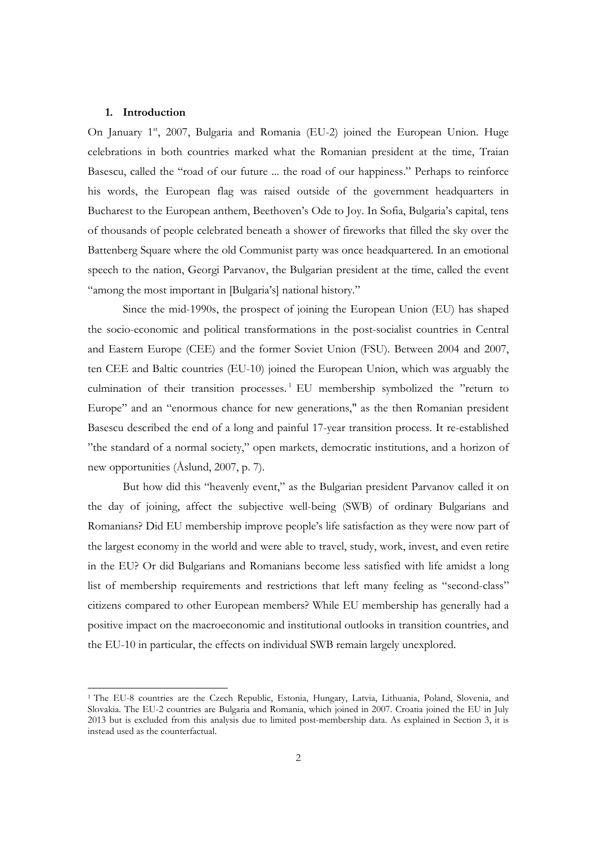#### **1. Introduction**

<u> 1989 - Jan Samuel Barbara, político establecido de la provincia de la provincia de la provincia de la provinci</u>

On January 1<sup>st</sup>, 2007, Bulgaria and Romania (EU-2) joined the European Union. Huge celebrations in both countries marked what the Romanian president at the time, Traian Basescu, called the "road of our future ... the road of our happiness." Perhaps to reinforce his words, the European flag was raised outside of the government headquarters in Bucharest to the European anthem, Beethoven's Ode to Joy. In Sofia, Bulgaria's capital, tens of thousands of people celebrated beneath a shower of fireworks that filled the sky over the Battenberg Square where the old Communist party was once headquartered. In an emotional speech to the nation, Georgi Parvanov, the Bulgarian president at the time, called the event "among the most important in [Bulgaria's] national history."

Since the mid-1990s, the prospect of joining the European Union (EU) has shaped the socio-economic and political transformations in the post-socialist countries in Central and Eastern Europe (CEE) and the former Soviet Union (FSU). Between 2004 and 2007, ten CEE and Baltic countries (EU-10) joined the European Union, which was arguably the culmination of their transition processes.<sup>1</sup> EU membership symbolized the "return to Europe" and an "enormous chance for new generations," as the then Romanian president Basescu described the end of a long and painful 17-year transition process. It re-established "the standard of a normal society," open markets, democratic institutions, and a horizon of new opportunities (Åslund, 2007, p. 7).

But how did this "heavenly event," as the Bulgarian president Parvanov called it on the day of joining, affect the subjective well-being (SWB) of ordinary Bulgarians and Romanians? Did EU membership improve people's life satisfaction as they were now part of the largest economy in the world and were able to travel, study, work, invest, and even retire in the EU? Or did Bulgarians and Romanians become less satisfied with life amidst a long list of membership requirements and restrictions that left many feeling as "second-class" citizens compared to other European members? While EU membership has generally had a positive impact on the macroeconomic and institutional outlooks in transition countries, and the EU-10 in particular, the effects on individual SWB remain largely unexplored.

<sup>1</sup> The EU-8 countries are the Czech Republic, Estonia, Hungary, Latvia, Lithuania, Poland, Slovenia, and Slovakia. The EU-2 countries are Bulgaria and Romania, which joined in 2007. Croatia joined the EU in July 2013 but is excluded from this analysis due to limited post-membership data. As explained in Section 3, it is instead used as the counterfactual.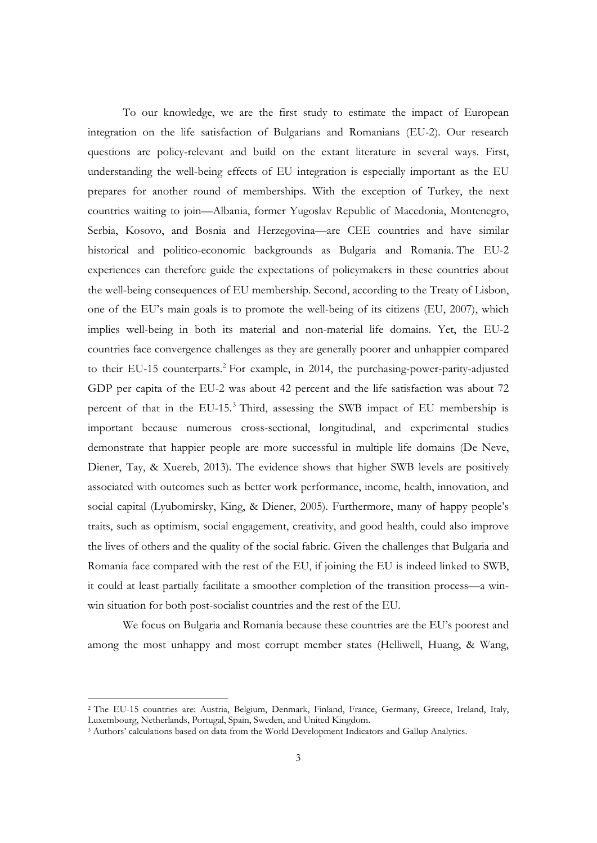To our knowledge, we are the first study to estimate the impact of European integration on the life satisfaction of Bulgarians and Romanians (EU-2). Our research questions are policy-relevant and build on the extant literature in several ways. First, understanding the well-being effects of EU integration is especially important as the EU prepares for another round of memberships. With the exception of Turkey, the next countries waiting to join—Albania, former Yugoslav Republic of Macedonia, Montenegro, Serbia, Kosovo, and Bosnia and Herzegovina—are CEE countries and have similar historical and politico-economic backgrounds as Bulgaria and Romania. The EU-2 experiences can therefore guide the expectations of policymakers in these countries about the well-being consequences of EU membership. Second, according to the Treaty of Lisbon, one of the EU's main goals is to promote the well-being of its citizens (EU, 2007), which implies well-being in both its material and non-material life domains. Yet, the EU-2 countries face convergence challenges as they are generally poorer and unhappier compared to their EU-15 counterparts.<sup>2</sup> For example, in 2014, the purchasing-power-parity-adjusted GDP per capita of the EU-2 was about 42 percent and the life satisfaction was about 72 percent of that in the EU-15.<sup>3</sup> Third, assessing the SWB impact of EU membership is important because numerous cross-sectional, longitudinal, and experimental studies demonstrate that happier people are more successful in multiple life domains (De Neve, Diener, Tay, & Xuereb, 2013). The evidence shows that higher SWB levels are positively associated with outcomes such as better work performance, income, health, innovation, and social capital (Lyubomirsky, King, & Diener, 2005). Furthermore, many of happy people's traits, such as optimism, social engagement, creativity, and good health, could also improve the lives of others and the quality of the social fabric. Given the challenges that Bulgaria and Romania face compared with the rest of the EU, if joining the EU is indeed linked to SWB, it could at least partially facilitate a smoother completion of the transition process—a winwin situation for both post-socialist countries and the rest of the EU.

 We focus on Bulgaria and Romania because these countries are the EU's poorest and among the most unhappy and most corrupt member states (Helliwell, Huang, & Wang,

 

<sup>2</sup> The EU-15 countries are: Austria, Belgium, Denmark, Finland, France, Germany, Greece, Ireland, Italy, Luxembourg, Netherlands, Portugal, Spain, Sweden, and United Kingdom.

<sup>3</sup> Authors' calculations based on data from the World Development Indicators and Gallup Analytics.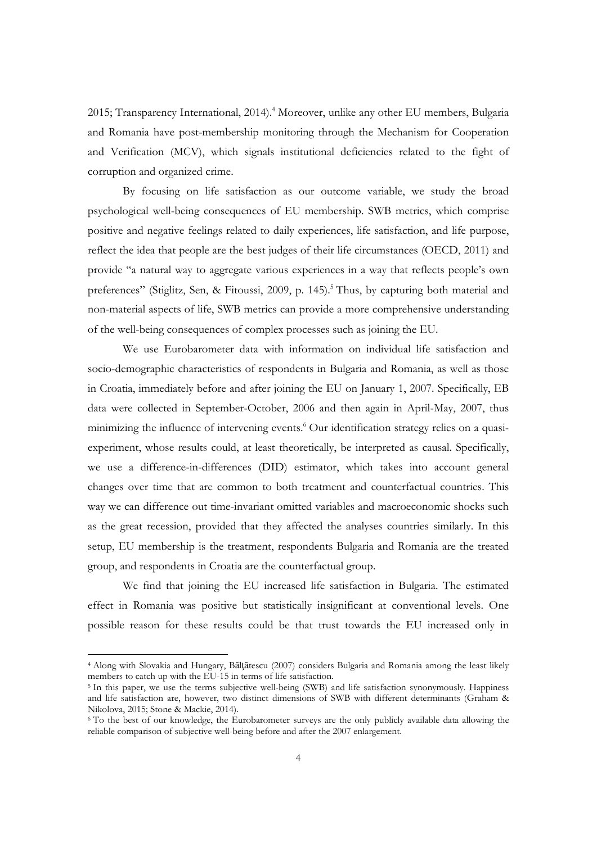2015; Transparency International, 2014).<sup>4</sup> Moreover, unlike any other EU members, Bulgaria and Romania have post-membership monitoring through the Mechanism for Cooperation and Verification (MCV), which signals institutional deficiencies related to the fight of corruption and organized crime.

By focusing on life satisfaction as our outcome variable, we study the broad psychological well-being consequences of EU membership. SWB metrics, which comprise positive and negative feelings related to daily experiences, life satisfaction, and life purpose, reflect the idea that people are the best judges of their life circumstances (OECD, 2011) and provide "a natural way to aggregate various experiences in a way that reflects people's own preferences" (Stiglitz, Sen, & Fitoussi, 2009, p. 145).<sup>5</sup> Thus, by capturing both material and non-material aspects of life, SWB metrics can provide a more comprehensive understanding of the well-being consequences of complex processes such as joining the EU.

We use Eurobarometer data with information on individual life satisfaction and socio-demographic characteristics of respondents in Bulgaria and Romania, as well as those in Croatia, immediately before and after joining the EU on January 1, 2007. Specifically, EB data were collected in September-October, 2006 and then again in April-May, 2007, thus minimizing the influence of intervening events.<sup>6</sup> Our identification strategy relies on a quasiexperiment, whose results could, at least theoretically, be interpreted as causal. Specifically, we use a difference-in-differences (DID) estimator, which takes into account general changes over time that are common to both treatment and counterfactual countries. This way we can difference out time-invariant omitted variables and macroeconomic shocks such as the great recession, provided that they affected the analyses countries similarly. In this setup, EU membership is the treatment, respondents Bulgaria and Romania are the treated group, and respondents in Croatia are the counterfactual group.

 We find that joining the EU increased life satisfaction in Bulgaria. The estimated effect in Romania was positive but statistically insignificant at conventional levels. One possible reason for these results could be that trust towards the EU increased only in

 

<sup>4</sup> Along with Slovakia and Hungary, Bălţătescu (2007) considers Bulgaria and Romania among the least likely members to catch up with the EU-15 in terms of life satisfaction.

<sup>&</sup>lt;sup>5</sup> In this paper, we use the terms subjective well-being (SWB) and life satisfaction synonymously. Happiness and life satisfaction are, however, two distinct dimensions of SWB with different determinants (Graham & Nikolova, 2015; Stone & Mackie, 2014).

<sup>&</sup>lt;sup>6</sup> To the best of our knowledge, the Eurobarometer surveys are the only publicly available data allowing the reliable comparison of subjective well-being before and after the 2007 enlargement.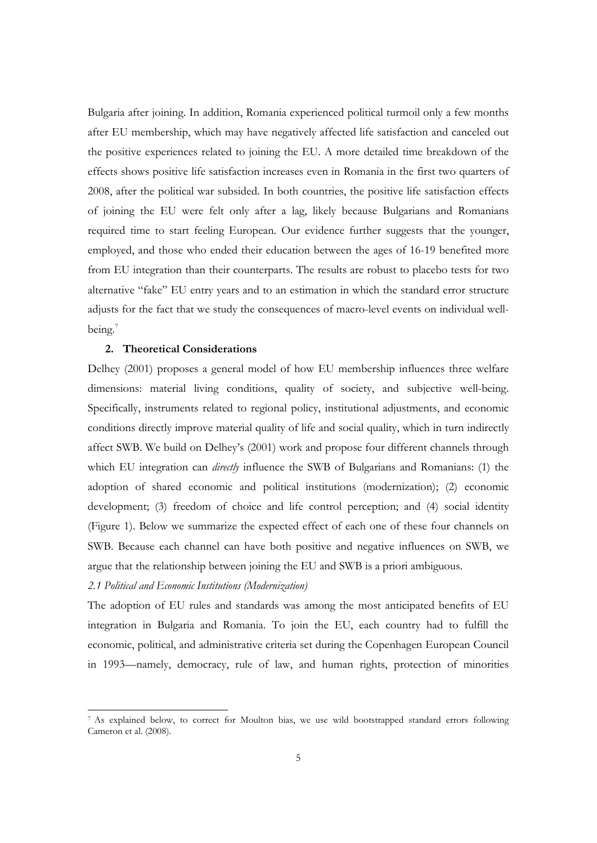Bulgaria after joining. In addition, Romania experienced political turmoil only a few months after EU membership, which may have negatively affected life satisfaction and canceled out the positive experiences related to joining the EU. A more detailed time breakdown of the effects shows positive life satisfaction increases even in Romania in the first two quarters of 2008, after the political war subsided. In both countries, the positive life satisfaction effects of joining the EU were felt only after a lag, likely because Bulgarians and Romanians required time to start feeling European. Our evidence further suggests that the younger, employed, and those who ended their education between the ages of 16-19 benefited more from EU integration than their counterparts. The results are robust to placebo tests for two alternative "fake" EU entry years and to an estimation in which the standard error structure adjusts for the fact that we study the consequences of macro-level events on individual wellbeing.<sup>7</sup>

### **2. Theoretical Considerations**

Delhey (2001) proposes a general model of how EU membership influences three welfare dimensions: material living conditions, quality of society, and subjective well-being. Specifically, instruments related to regional policy, institutional adjustments, and economic conditions directly improve material quality of life and social quality, which in turn indirectly affect SWB. We build on Delhey's (2001) work and propose four different channels through which EU integration can *directly* influence the SWB of Bulgarians and Romanians: (1) the adoption of shared economic and political institutions (modernization); (2) economic development; (3) freedom of choice and life control perception; and (4) social identity (Figure 1). Below we summarize the expected effect of each one of these four channels on SWB. Because each channel can have both positive and negative influences on SWB, we argue that the relationship between joining the EU and SWB is a priori ambiguous.

# *2.1 Political and Economic Institutions (Modernization)*

 

The adoption of EU rules and standards was among the most anticipated benefits of EU integration in Bulgaria and Romania. To join the EU, each country had to fulfill the economic, political, and administrative criteria set during the Copenhagen European Council in 1993—namely, democracy, rule of law, and human rights, protection of minorities

<sup>7</sup> As explained below, to correct for Moulton bias, we use wild bootstrapped standard errors following Cameron et al. (2008).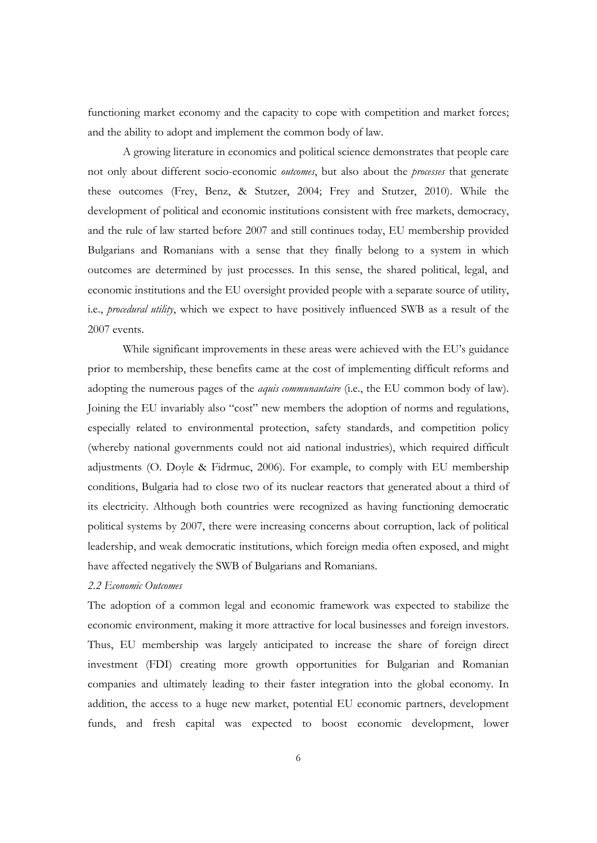functioning market economy and the capacity to cope with competition and market forces; and the ability to adopt and implement the common body of law.

A growing literature in economics and political science demonstrates that people care not only about different socio-economic *outcomes*, but also about the *processes* that generate these outcomes (Frey, Benz, & Stutzer, 2004; Frey and Stutzer, 2010). While the development of political and economic institutions consistent with free markets, democracy, and the rule of law started before 2007 and still continues today, EU membership provided Bulgarians and Romanians with a sense that they finally belong to a system in which outcomes are determined by just processes. In this sense, the shared political, legal, and economic institutions and the EU oversight provided people with a separate source of utility, i.e., *procedural utility*, which we expect to have positively influenced SWB as a result of the 2007 events.

While significant improvements in these areas were achieved with the EU's guidance prior to membership, these benefits came at the cost of implementing difficult reforms and adopting the numerous pages of the *aquis communautaire* (i.e., the EU common body of law). Joining the EU invariably also "cost" new members the adoption of norms and regulations, especially related to environmental protection, safety standards, and competition policy (whereby national governments could not aid national industries), which required difficult adjustments (O. Doyle & Fidrmuc, 2006). For example, to comply with EU membership conditions, Bulgaria had to close two of its nuclear reactors that generated about a third of its electricity. Although both countries were recognized as having functioning democratic political systems by 2007, there were increasing concerns about corruption, lack of political leadership, and weak democratic institutions, which foreign media often exposed, and might have affected negatively the SWB of Bulgarians and Romanians.

### *2.2 Economic Outcomes*

The adoption of a common legal and economic framework was expected to stabilize the economic environment, making it more attractive for local businesses and foreign investors. Thus, EU membership was largely anticipated to increase the share of foreign direct investment (FDI) creating more growth opportunities for Bulgarian and Romanian companies and ultimately leading to their faster integration into the global economy. In addition, the access to a huge new market, potential EU economic partners, development funds, and fresh capital was expected to boost economic development, lower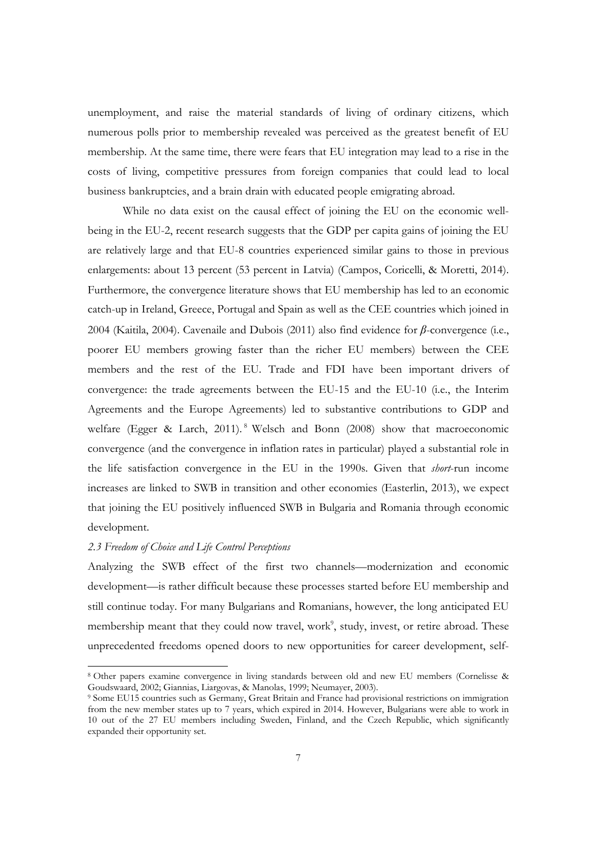unemployment, and raise the material standards of living of ordinary citizens, which numerous polls prior to membership revealed was perceived as the greatest benefit of EU membership. At the same time, there were fears that EU integration may lead to a rise in the costs of living, competitive pressures from foreign companies that could lead to local business bankruptcies, and a brain drain with educated people emigrating abroad.

While no data exist on the causal effect of joining the EU on the economic wellbeing in the EU-2, recent research suggests that the GDP per capita gains of joining the EU are relatively large and that EU-8 countries experienced similar gains to those in previous enlargements: about 13 percent (53 percent in Latvia) (Campos, Coricelli, & Moretti, 2014). Furthermore, the convergence literature shows that EU membership has led to an economic catch-up in Ireland, Greece, Portugal and Spain as well as the CEE countries which joined in 2004 (Kaitila, 2004). Cavenaile and Dubois (2011) also find evidence for *β*-convergence (i.e., poorer EU members growing faster than the richer EU members) between the CEE members and the rest of the EU. Trade and FDI have been important drivers of convergence: the trade agreements between the EU-15 and the EU-10 (i.e., the Interim Agreements and the Europe Agreements) led to substantive contributions to GDP and welfare (Egger & Larch, 2011).<sup>8</sup> Welsch and Bonn (2008) show that macroeconomic convergence (and the convergence in inflation rates in particular) played a substantial role in the life satisfaction convergence in the EU in the 1990s. Given that *short*-run income increases are linked to SWB in transition and other economies (Easterlin, 2013), we expect that joining the EU positively influenced SWB in Bulgaria and Romania through economic development.

### *2.3 Freedom of Choice and Life Control Perceptions*

 

Analyzing the SWB effect of the first two channels—modernization and economic development—is rather difficult because these processes started before EU membership and still continue today. For many Bulgarians and Romanians, however, the long anticipated EU membership meant that they could now travel, work<sup>9</sup>, study, invest, or retire abroad. These unprecedented freedoms opened doors to new opportunities for career development, self-

<sup>8</sup> Other papers examine convergence in living standards between old and new EU members (Cornelisse & Goudswaard, 2002; Giannias, Liargovas, & Manolas, 1999; Neumayer, 2003).<br><sup>9</sup> Some EU15 countries such as Germany, Great Britain and France had provisional restrictions on immigration

from the new member states up to 7 years, which expired in 2014. However, Bulgarians were able to work in 10 out of the 27 EU members including Sweden, Finland, and the Czech Republic, which significantly expanded their opportunity set.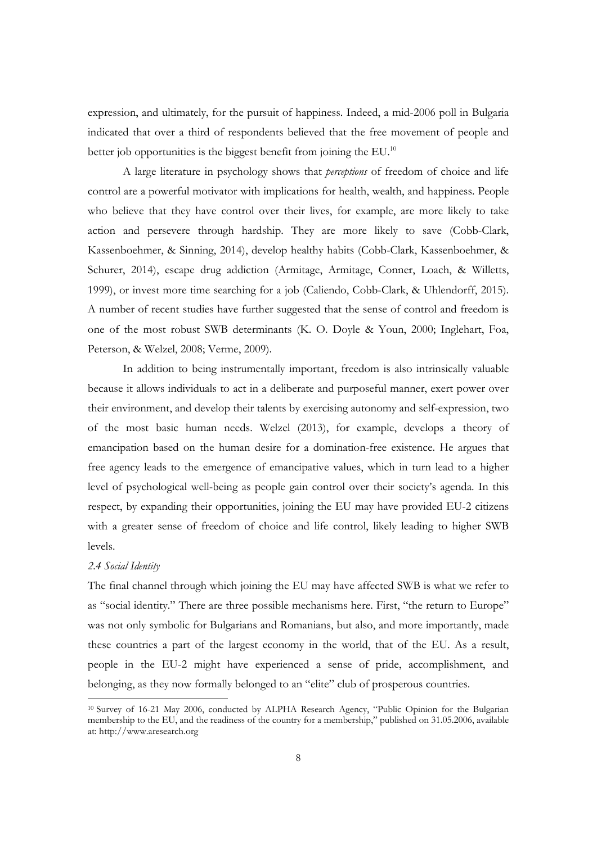expression, and ultimately, for the pursuit of happiness. Indeed, a mid-2006 poll in Bulgaria indicated that over a third of respondents believed that the free movement of people and better job opportunities is the biggest benefit from joining the EU.<sup>10</sup>

 A large literature in psychology shows that *perceptions* of freedom of choice and life control are a powerful motivator with implications for health, wealth, and happiness. People who believe that they have control over their lives, for example, are more likely to take action and persevere through hardship. They are more likely to save (Cobb-Clark, Kassenboehmer, & Sinning, 2014), develop healthy habits (Cobb-Clark, Kassenboehmer, & Schurer, 2014), escape drug addiction (Armitage, Armitage, Conner, Loach, & Willetts, 1999), or invest more time searching for a job (Caliendo, Cobb-Clark, & Uhlendorff, 2015). A number of recent studies have further suggested that the sense of control and freedom is one of the most robust SWB determinants (K. O. Doyle & Youn, 2000; Inglehart, Foa, Peterson, & Welzel, 2008; Verme, 2009).

 In addition to being instrumentally important, freedom is also intrinsically valuable because it allows individuals to act in a deliberate and purposeful manner, exert power over their environment, and develop their talents by exercising autonomy and self-expression, two of the most basic human needs. Welzel (2013), for example, develops a theory of emancipation based on the human desire for a domination-free existence. He argues that free agency leads to the emergence of emancipative values, which in turn lead to a higher level of psychological well-being as people gain control over their society's agenda. In this respect, by expanding their opportunities, joining the EU may have provided EU-2 citizens with a greater sense of freedom of choice and life control, likely leading to higher SWB levels.

#### *2.4 Social Identity*

 

The final channel through which joining the EU may have affected SWB is what we refer to as "social identity." There are three possible mechanisms here. First, "the return to Europe" was not only symbolic for Bulgarians and Romanians, but also, and more importantly, made these countries a part of the largest economy in the world, that of the EU. As a result, people in the EU-2 might have experienced a sense of pride, accomplishment, and belonging, as they now formally belonged to an "elite" club of prosperous countries.

<sup>&</sup>lt;sup>10</sup> Survey of 16-21 May 2006, conducted by ALPHA Research Agency, "Public Opinion for the Bulgarian membership to the EU, and the readiness of the country for a membership," published on 31.05.2006, available at: http://www.aresearch.org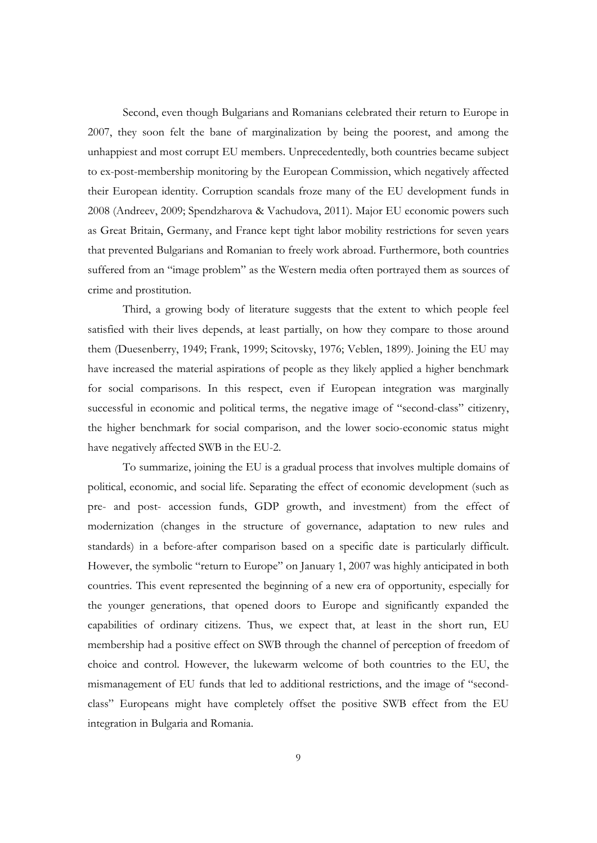Second, even though Bulgarians and Romanians celebrated their return to Europe in 2007, they soon felt the bane of marginalization by being the poorest, and among the unhappiest and most corrupt EU members. Unprecedentedly, both countries became subject to ex-post-membership monitoring by the European Commission, which negatively affected their European identity. Corruption scandals froze many of the EU development funds in 2008 (Andreev, 2009; Spendzharova & Vachudova, 2011). Major EU economic powers such as Great Britain, Germany, and France kept tight labor mobility restrictions for seven years that prevented Bulgarians and Romanian to freely work abroad. Furthermore, both countries suffered from an "image problem" as the Western media often portrayed them as sources of crime and prostitution.

Third, a growing body of literature suggests that the extent to which people feel satisfied with their lives depends, at least partially, on how they compare to those around them (Duesenberry, 1949; Frank, 1999; Scitovsky, 1976; Veblen, 1899). Joining the EU may have increased the material aspirations of people as they likely applied a higher benchmark for social comparisons. In this respect, even if European integration was marginally successful in economic and political terms, the negative image of "second-class" citizenry, the higher benchmark for social comparison, and the lower socio-economic status might have negatively affected SWB in the EU-2.

To summarize, joining the EU is a gradual process that involves multiple domains of political, economic, and social life. Separating the effect of economic development (such as pre- and post- accession funds, GDP growth, and investment) from the effect of modernization (changes in the structure of governance, adaptation to new rules and standards) in a before-after comparison based on a specific date is particularly difficult. However, the symbolic "return to Europe" on January 1, 2007 was highly anticipated in both countries. This event represented the beginning of a new era of opportunity, especially for the younger generations, that opened doors to Europe and significantly expanded the capabilities of ordinary citizens. Thus, we expect that, at least in the short run, EU membership had a positive effect on SWB through the channel of perception of freedom of choice and control. However, the lukewarm welcome of both countries to the EU, the mismanagement of EU funds that led to additional restrictions, and the image of "secondclass" Europeans might have completely offset the positive SWB effect from the EU integration in Bulgaria and Romania.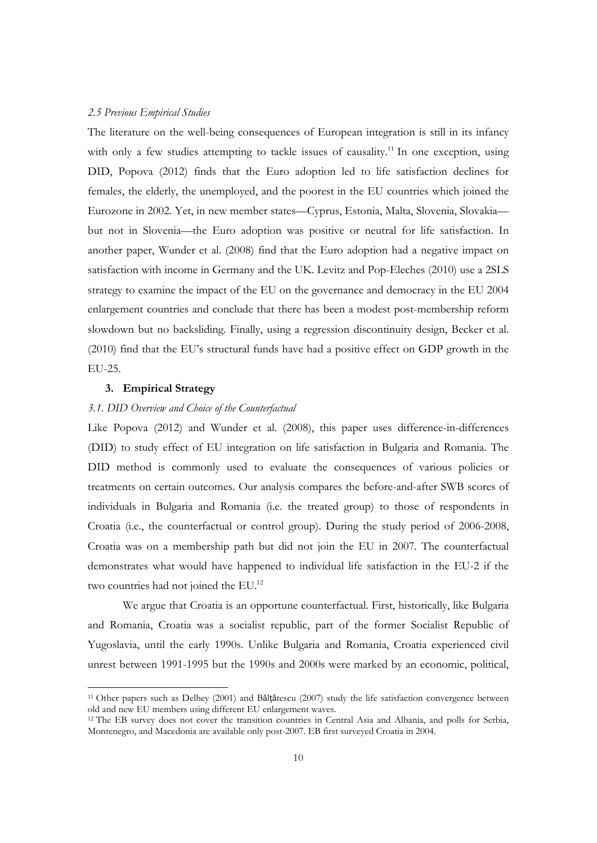#### *2.5 Previous Empirical Studies*

The literature on the well-being consequences of European integration is still in its infancy with only a few studies attempting to tackle issues of causality.<sup>11</sup> In one exception, using DID, Popova (2012) finds that the Euro adoption led to life satisfaction declines for females, the elderly, the unemployed, and the poorest in the EU countries which joined the Eurozone in 2002. Yet, in new member states—Cyprus, Estonia, Malta, Slovenia, Slovakia but not in Slovenia—the Euro adoption was positive or neutral for life satisfaction. In another paper, Wunder et al. (2008) find that the Euro adoption had a negative impact on satisfaction with income in Germany and the UK. Levitz and Pop-Eleches (2010) use a 2SLS strategy to examine the impact of the EU on the governance and democracy in the EU 2004 enlargement countries and conclude that there has been a modest post-membership reform slowdown but no backsliding. Finally, using a regression discontinuity design, Becker et al. (2010) find that the EU's structural funds have had a positive effect on GDP growth in the EU-25.

#### **3. Empirical Strategy**

<u> 1989 - Jan Samuel Barbara, político establecido de la provincia de la provincia de la provincia de la provinci</u>

#### *3.1. DID Overview and Choice of the Counterfactual*

Like Popova (2012) and Wunder et al. (2008), this paper uses difference-in-differences (DID) to study effect of EU integration on life satisfaction in Bulgaria and Romania. The DID method is commonly used to evaluate the consequences of various policies or treatments on certain outcomes. Our analysis compares the before-and-after SWB scores of individuals in Bulgaria and Romania (i.e. the treated group) to those of respondents in Croatia (i.e., the counterfactual or control group). During the study period of 2006-2008, Croatia was on a membership path but did not join the EU in 2007. The counterfactual demonstrates what would have happened to individual life satisfaction in the EU-2 if the two countries had not joined the EU.<sup>12</sup>

We argue that Croatia is an opportune counterfactual. First, historically, like Bulgaria and Romania, Croatia was a socialist republic, part of the former Socialist Republic of Yugoslavia, until the early 1990s. Unlike Bulgaria and Romania, Croatia experienced civil unrest between 1991-1995 but the 1990s and 2000s were marked by an economic, political,

<sup>&</sup>lt;sup>11</sup> Other papers such as Delhey (2001) and B**ălță**tescu (2007) study the life satisfaction convergence between old and new EU members using different EU enlargement waves.

<sup>&</sup>lt;sup>12</sup> The EB survey does not cover the transition countries in Central Asia and Albania, and polls for Serbia, Montenegro, and Macedonia are available only post-2007. EB first surveyed Croatia in 2004.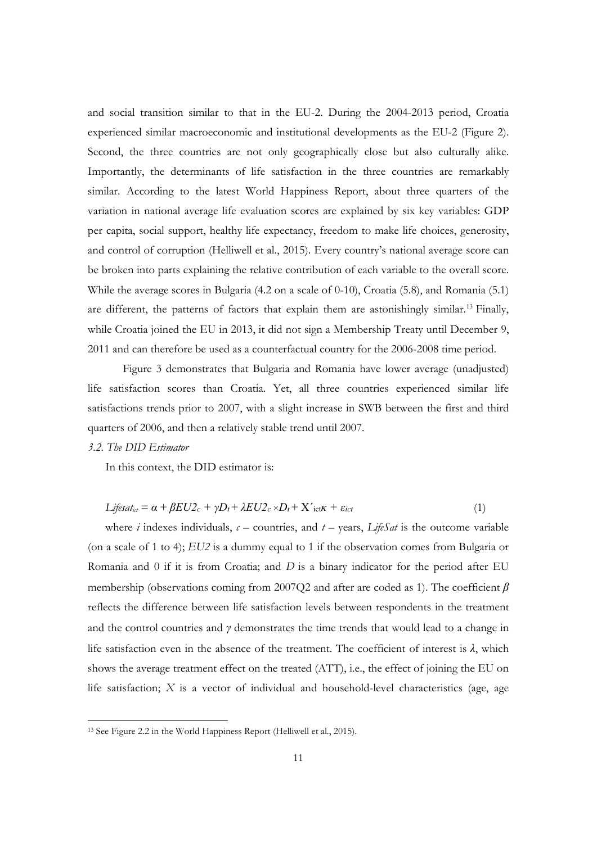and social transition similar to that in the EU-2. During the 2004-2013 period, Croatia experienced similar macroeconomic and institutional developments as the EU-2 (Figure 2). Second, the three countries are not only geographically close but also culturally alike. Importantly, the determinants of life satisfaction in the three countries are remarkably similar. According to the latest World Happiness Report, about three quarters of the variation in national average life evaluation scores are explained by six key variables: GDP per capita, social support, healthy life expectancy, freedom to make life choices, generosity, and control of corruption (Helliwell et al., 2015). Every country's national average score can be broken into parts explaining the relative contribution of each variable to the overall score. While the average scores in Bulgaria (4.2 on a scale of 0-10), Croatia (5.8), and Romania (5.1) are different, the patterns of factors that explain them are astonishingly similar.<sup>13</sup> Finally, while Croatia joined the EU in 2013, it did not sign a Membership Treaty until December 9, 2011 and can therefore be used as a counterfactual country for the 2006-2008 time period.

Figure 3 demonstrates that Bulgaria and Romania have lower average (unadjusted) life satisfaction scores than Croatia. Yet, all three countries experienced similar life satisfactions trends prior to 2007, with a slight increase in SWB between the first and third quarters of 2006, and then a relatively stable trend until 2007.

#### *3.2. The DID Estimator*

In this context, the DID estimator is:

$$
Lifesat_{id} = \alpha + \beta EU2_c + \gamma D_t + \lambda EU2_c \times D_t + X' \cdot \text{ictK} + \varepsilon_{ict}
$$
\n
$$
\tag{1}
$$

where *i* indexes individuals,  $c$  – countries, and  $t$  – years, *LifeSat* is the outcome variable (on a scale of 1 to 4); *EU2* is a dummy equal to 1 if the observation comes from Bulgaria or Romania and 0 if it is from Croatia; and *D* is a binary indicator for the period after EU membership (observations coming from 2007Q2 and after are coded as 1). The coefficient *β* reflects the difference between life satisfaction levels between respondents in the treatment and the control countries and *γ* demonstrates the time trends that would lead to a change in life satisfaction even in the absence of the treatment. The coefficient of interest is *λ*, which shows the average treatment effect on the treated (ATT), i.e., the effect of joining the EU on life satisfaction; *X* is a vector of individual and household-level characteristics (age, age

 

<sup>13</sup> See Figure 2.2 in the World Happiness Report (Helliwell et al., 2015).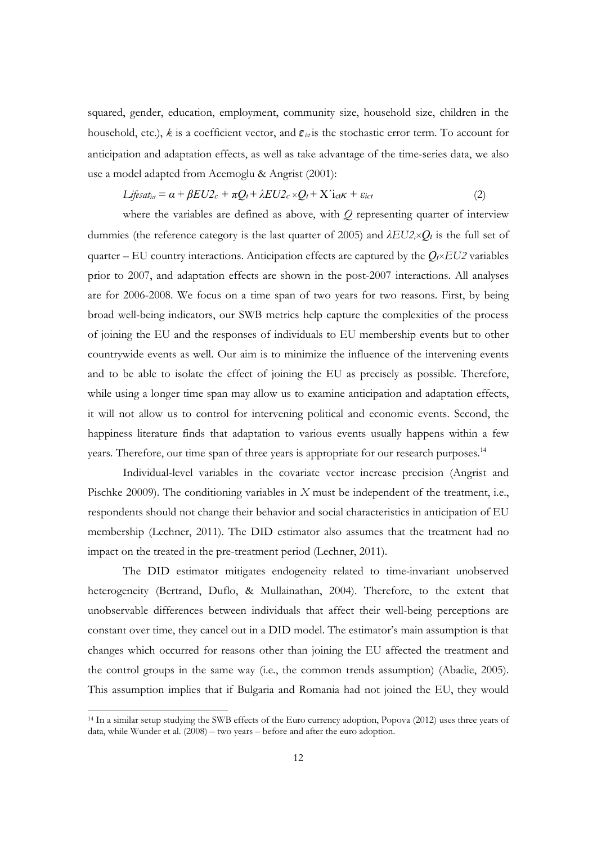squared, gender, education, employment, community size, household size, children in the household, etc.),  $k$  is a coefficient vector, and  $\boldsymbol{\varepsilon}_{i:t}$  is the stochastic error term. To account for anticipation and adaptation effects, as well as take advantage of the time-series data, we also use a model adapted from Acemoglu & Angrist (2001):

$$
Lij\epsilon s \, dt_{id} = \alpha + \beta EU2_c + \pi Q_t + \lambda EU2_c \times Q_t + X' \, \text{let } \kappa + \varepsilon_{ict} \tag{2}
$$

 where the variables are defined as above, with *Q* representing quarter of interview dummies (the reference category is the last quarter of 2005) and  $\lambda E U2_c \times Q_t$  is the full set of quarter – EU country interactions. Anticipation effects are captured by the  $Q_t \times EU2$  variables prior to 2007, and adaptation effects are shown in the post-2007 interactions. All analyses are for 2006-2008. We focus on a time span of two years for two reasons. First, by being broad well-being indicators, our SWB metrics help capture the complexities of the process of joining the EU and the responses of individuals to EU membership events but to other countrywide events as well. Our aim is to minimize the influence of the intervening events and to be able to isolate the effect of joining the EU as precisely as possible. Therefore, while using a longer time span may allow us to examine anticipation and adaptation effects, it will not allow us to control for intervening political and economic events. Second, the happiness literature finds that adaptation to various events usually happens within a few years. Therefore, our time span of three years is appropriate for our research purposes.<sup>14</sup>

 Individual-level variables in the covariate vector increase precision (Angrist and Pischke 20009). The conditioning variables in *X* must be independent of the treatment, i.e., respondents should not change their behavior and social characteristics in anticipation of EU membership (Lechner, 2011). The DID estimator also assumes that the treatment had no impact on the treated in the pre-treatment period (Lechner, 2011).

 The DID estimator mitigates endogeneity related to time-invariant unobserved heterogeneity (Bertrand, Duflo, & Mullainathan, 2004). Therefore, to the extent that unobservable differences between individuals that affect their well-being perceptions are constant over time, they cancel out in a DID model. The estimator's main assumption is that changes which occurred for reasons other than joining the EU affected the treatment and the control groups in the same way (i.e., the common trends assumption) (Abadie, 2005). This assumption implies that if Bulgaria and Romania had not joined the EU, they would

 

<sup>14</sup> In a similar setup studying the SWB effects of the Euro currency adoption, Popova (2012) uses three years of data, while Wunder et al. (2008) – two years – before and after the euro adoption.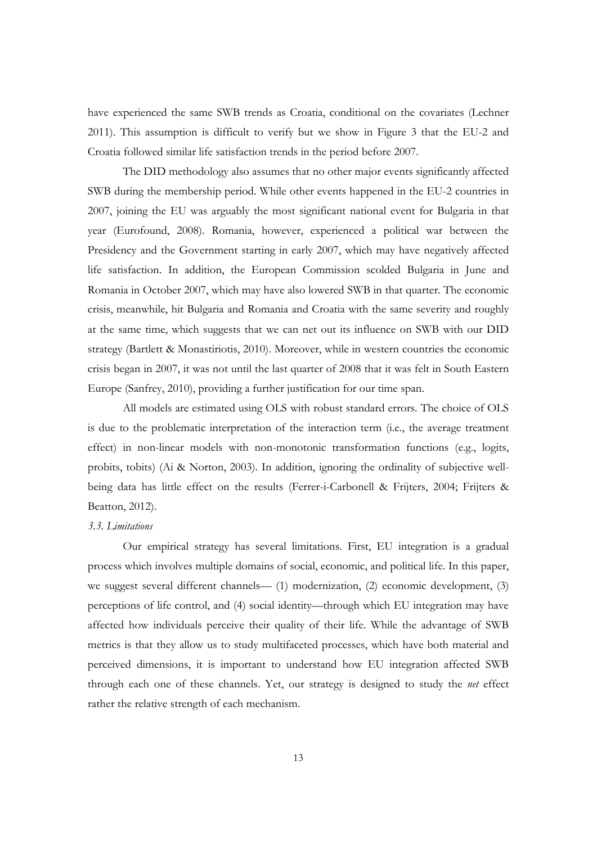have experienced the same SWB trends as Croatia, conditional on the covariates (Lechner 2011). This assumption is difficult to verify but we show in Figure 3 that the EU-2 and Croatia followed similar life satisfaction trends in the period before 2007.

 The DID methodology also assumes that no other major events significantly affected SWB during the membership period. While other events happened in the EU-2 countries in 2007, joining the EU was arguably the most significant national event for Bulgaria in that year (Eurofound, 2008). Romania, however, experienced a political war between the Presidency and the Government starting in early 2007, which may have negatively affected life satisfaction. In addition, the European Commission scolded Bulgaria in June and Romania in October 2007, which may have also lowered SWB in that quarter. The economic crisis, meanwhile, hit Bulgaria and Romania and Croatia with the same severity and roughly at the same time, which suggests that we can net out its influence on SWB with our DID strategy (Bartlett & Monastiriotis, 2010). Moreover, while in western countries the economic crisis began in 2007, it was not until the last quarter of 2008 that it was felt in South Eastern Europe (Sanfrey, 2010), providing a further justification for our time span.

All models are estimated using OLS with robust standard errors. The choice of OLS is due to the problematic interpretation of the interaction term (i.e., the average treatment effect) in non-linear models with non-monotonic transformation functions (e.g., logits, probits, tobits) (Ai & Norton, 2003). In addition, ignoring the ordinality of subjective wellbeing data has little effect on the results (Ferrer-i-Carbonell & Frijters, 2004; Frijters & Beatton, 2012).

#### *3.3. Limitations*

Our empirical strategy has several limitations. First, EU integration is a gradual process which involves multiple domains of social, economic, and political life. In this paper, we suggest several different channels— (1) modernization, (2) economic development, (3) perceptions of life control, and (4) social identity—through which EU integration may have affected how individuals perceive their quality of their life. While the advantage of SWB metrics is that they allow us to study multifaceted processes, which have both material and perceived dimensions, it is important to understand how EU integration affected SWB through each one of these channels. Yet, our strategy is designed to study the *net* effect rather the relative strength of each mechanism.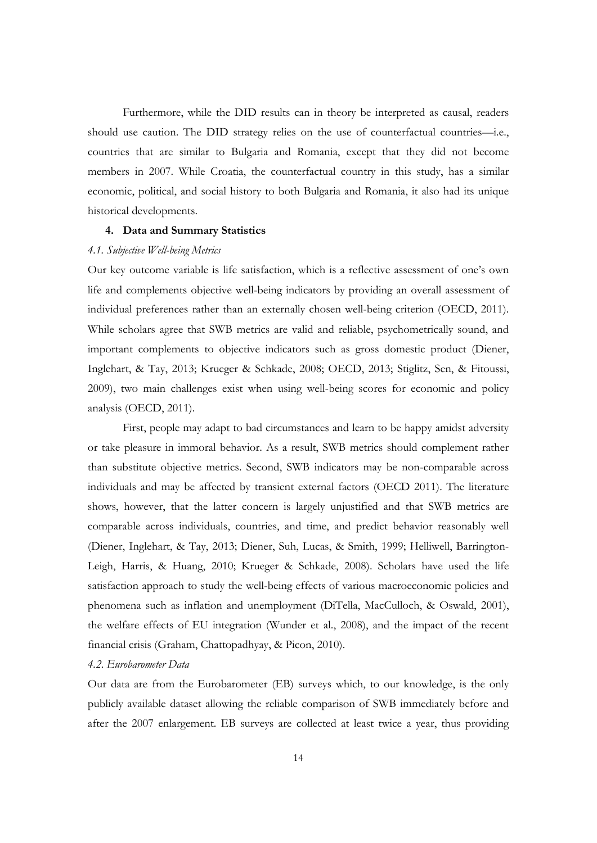Furthermore, while the DID results can in theory be interpreted as causal, readers should use caution. The DID strategy relies on the use of counterfactual countries—i.e., countries that are similar to Bulgaria and Romania, except that they did not become members in 2007. While Croatia, the counterfactual country in this study, has a similar economic, political, and social history to both Bulgaria and Romania, it also had its unique historical developments.

#### **4. Data and Summary Statistics**

#### *4.1. Subjective Well-being Metrics*

Our key outcome variable is life satisfaction, which is a reflective assessment of one's own life and complements objective well-being indicators by providing an overall assessment of individual preferences rather than an externally chosen well-being criterion (OECD, 2011). While scholars agree that SWB metrics are valid and reliable, psychometrically sound, and important complements to objective indicators such as gross domestic product (Diener, Inglehart, & Tay, 2013; Krueger & Schkade, 2008; OECD, 2013; Stiglitz, Sen, & Fitoussi, 2009), two main challenges exist when using well-being scores for economic and policy analysis (OECD, 2011).

 First, people may adapt to bad circumstances and learn to be happy amidst adversity or take pleasure in immoral behavior. As a result, SWB metrics should complement rather than substitute objective metrics. Second, SWB indicators may be non-comparable across individuals and may be affected by transient external factors (OECD 2011). The literature shows, however, that the latter concern is largely unjustified and that SWB metrics are comparable across individuals, countries, and time, and predict behavior reasonably well (Diener, Inglehart, & Tay, 2013; Diener, Suh, Lucas, & Smith, 1999; Helliwell, Barrington-Leigh, Harris, & Huang, 2010; Krueger & Schkade, 2008). Scholars have used the life satisfaction approach to study the well-being effects of various macroeconomic policies and phenomena such as inflation and unemployment (DiTella, MacCulloch, & Oswald, 2001), the welfare effects of EU integration (Wunder et al., 2008), and the impact of the recent financial crisis (Graham, Chattopadhyay, & Picon, 2010).

#### *4.2. Eurobarometer Data*

Our data are from the Eurobarometer (EB) surveys which, to our knowledge, is the only publicly available dataset allowing the reliable comparison of SWB immediately before and after the 2007 enlargement. EB surveys are collected at least twice a year, thus providing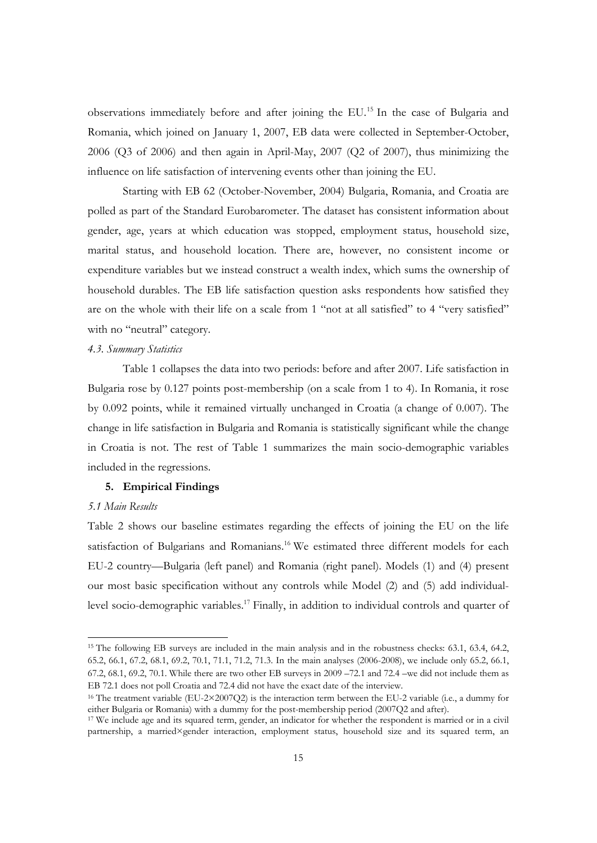observations immediately before and after joining the EU.15 In the case of Bulgaria and Romania, which joined on January 1, 2007, EB data were collected in September-October, 2006 (Q3 of 2006) and then again in April-May, 2007 (Q2 of 2007), thus minimizing the influence on life satisfaction of intervening events other than joining the EU.

Starting with EB 62 (October-November, 2004) Bulgaria, Romania, and Croatia are polled as part of the Standard Eurobarometer. The dataset has consistent information about gender, age, years at which education was stopped, employment status, household size, marital status, and household location. There are, however, no consistent income or expenditure variables but we instead construct a wealth index, which sums the ownership of household durables. The EB life satisfaction question asks respondents how satisfied they are on the whole with their life on a scale from 1 "not at all satisfied" to 4 "very satisfied" with no "neutral" category.

### *4.3. Summary Statistics*

Table 1 collapses the data into two periods: before and after 2007. Life satisfaction in Bulgaria rose by 0.127 points post-membership (on a scale from 1 to 4). In Romania, it rose by 0.092 points, while it remained virtually unchanged in Croatia (a change of 0.007). The change in life satisfaction in Bulgaria and Romania is statistically significant while the change in Croatia is not. The rest of Table 1 summarizes the main socio-demographic variables included in the regressions.

#### **5. Empirical Findings**

 

### *5.1 Main Results*

Table 2 shows our baseline estimates regarding the effects of joining the EU on the life satisfaction of Bulgarians and Romanians.<sup>16</sup> We estimated three different models for each EU-2 country—Bulgaria (left panel) and Romania (right panel). Models (1) and (4) present our most basic specification without any controls while Model (2) and (5) add individuallevel socio-demographic variables.17 Finally, in addition to individual controls and quarter of

<sup>15</sup> The following EB surveys are included in the main analysis and in the robustness checks: 63.1, 63.4, 64.2, 65.2, 66.1, 67.2, 68.1, 69.2, 70.1, 71.1, 71.2, 71.3. In the main analyses (2006-2008), we include only 65.2, 66.1, 67.2, 68.1, 69.2, 70.1. While there are two other EB surveys in 2009 –72.1 and 72.4 –we did not include them as EB 72.1 does not poll Croatia and 72.4 did not have the exact date of the interview.

<sup>&</sup>lt;sup>16</sup> The treatment variable (EU-2×2007O2) is the interaction term between the EU-2 variable (i.e., a dummy for either Bulgaria or Romania) with a dummy for the post-membership period (2007Q2 and after).

<sup>&</sup>lt;sup>17</sup> We include age and its squared term, gender, an indicator for whether the respondent is married or in a civil partnership, a married×gender interaction, employment status, household size and its squared term, an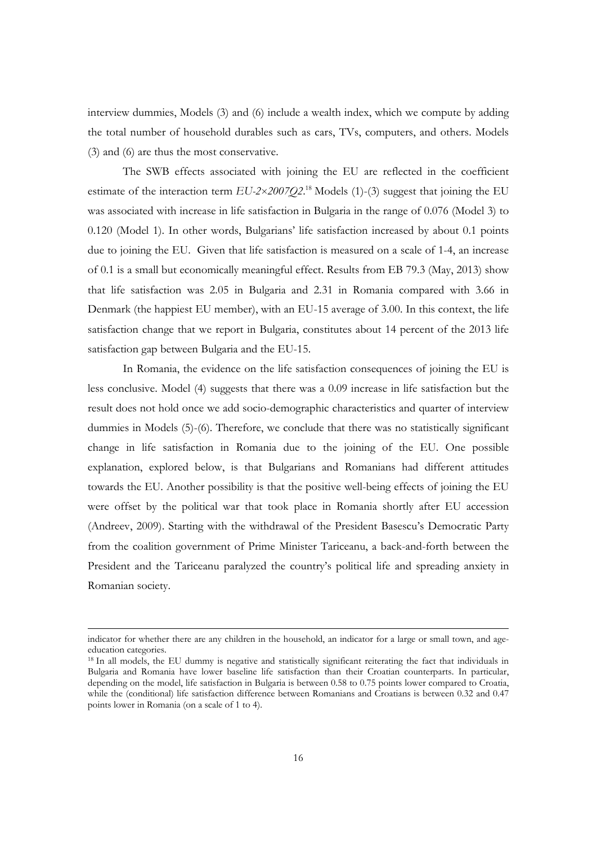interview dummies, Models (3) and (6) include a wealth index, which we compute by adding the total number of household durables such as cars, TVs, computers, and others. Models (3) and (6) are thus the most conservative.

The SWB effects associated with joining the EU are reflected in the coefficient estimate of the interaction term  $EU-2\times 2007Q2$ .<sup>18</sup> Models (1)-(3) suggest that joining the EU was associated with increase in life satisfaction in Bulgaria in the range of 0.076 (Model 3) to 0.120 (Model 1). In other words, Bulgarians' life satisfaction increased by about 0.1 points due to joining the EU. Given that life satisfaction is measured on a scale of 1-4, an increase of 0.1 is a small but economically meaningful effect. Results from EB 79.3 (May, 2013) show that life satisfaction was 2.05 in Bulgaria and 2.31 in Romania compared with 3.66 in Denmark (the happiest EU member), with an EU-15 average of 3.00. In this context, the life satisfaction change that we report in Bulgaria, constitutes about 14 percent of the 2013 life satisfaction gap between Bulgaria and the EU-15.

In Romania, the evidence on the life satisfaction consequences of joining the EU is less conclusive. Model (4) suggests that there was a 0.09 increase in life satisfaction but the result does not hold once we add socio-demographic characteristics and quarter of interview dummies in Models (5)-(6). Therefore, we conclude that there was no statistically significant change in life satisfaction in Romania due to the joining of the EU. One possible explanation, explored below, is that Bulgarians and Romanians had different attitudes towards the EU. Another possibility is that the positive well-being effects of joining the EU were offset by the political war that took place in Romania shortly after EU accession (Andreev, 2009). Starting with the withdrawal of the President Basescu's Democratic Party from the coalition government of Prime Minister Tariceanu, a back-and-forth between the President and the Tariceanu paralyzed the country's political life and spreading anxiety in Romanian society.

 indicator for whether there are any children in the household, an indicator for a large or small town, and ageeducation categories.

<sup>&</sup>lt;sup>18</sup> In all models, the EU dummy is negative and statistically significant reiterating the fact that individuals in Bulgaria and Romania have lower baseline life satisfaction than their Croatian counterparts. In particular, depending on the model, life satisfaction in Bulgaria is between 0.58 to 0.75 points lower compared to Croatia, while the (conditional) life satisfaction difference between Romanians and Croatians is between 0.32 and 0.47 points lower in Romania (on a scale of 1 to 4).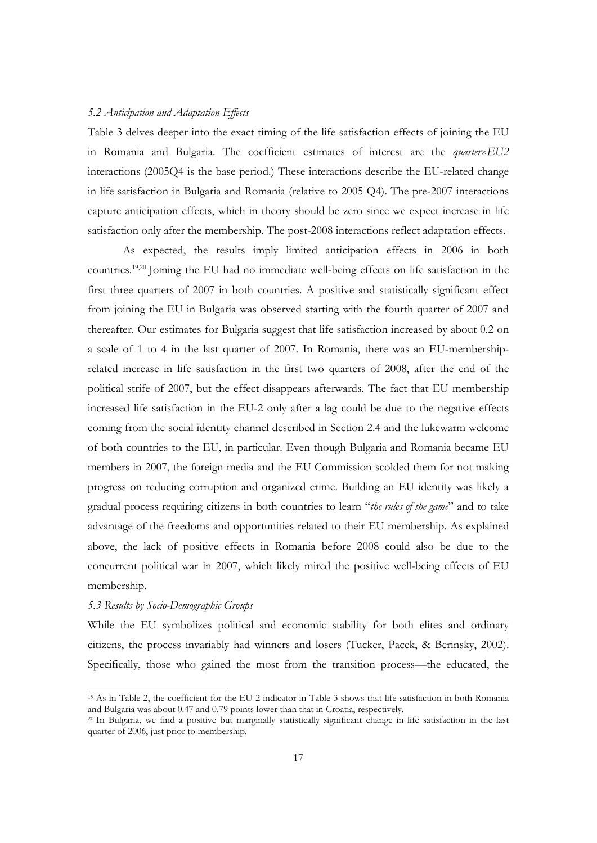#### *5.2 Anticipation and Adaptation Effects*

Table 3 delves deeper into the exact timing of the life satisfaction effects of joining the EU in Romania and Bulgaria. The coefficient estimates of interest are the *quarter*×*EU2* interactions (2005Q4 is the base period.) These interactions describe the EU-related change in life satisfaction in Bulgaria and Romania (relative to 2005 Q4). The pre-2007 interactions capture anticipation effects, which in theory should be zero since we expect increase in life satisfaction only after the membership. The post-2008 interactions reflect adaptation effects.

As expected, the results imply limited anticipation effects in 2006 in both countries.19,20 Joining the EU had no immediate well-being effects on life satisfaction in the first three quarters of 2007 in both countries. A positive and statistically significant effect from joining the EU in Bulgaria was observed starting with the fourth quarter of 2007 and thereafter. Our estimates for Bulgaria suggest that life satisfaction increased by about 0.2 on a scale of 1 to 4 in the last quarter of 2007. In Romania, there was an EU-membershiprelated increase in life satisfaction in the first two quarters of 2008, after the end of the political strife of 2007, but the effect disappears afterwards. The fact that EU membership increased life satisfaction in the EU-2 only after a lag could be due to the negative effects coming from the social identity channel described in Section 2.4 and the lukewarm welcome of both countries to the EU, in particular. Even though Bulgaria and Romania became EU members in 2007, the foreign media and the EU Commission scolded them for not making progress on reducing corruption and organized crime. Building an EU identity was likely a gradual process requiring citizens in both countries to learn "*the rules of the game*" and to take advantage of the freedoms and opportunities related to their EU membership. As explained above, the lack of positive effects in Romania before 2008 could also be due to the concurrent political war in 2007, which likely mired the positive well-being effects of EU membership.

### *5.3 Results by Socio-Demographic Groups*

 

While the EU symbolizes political and economic stability for both elites and ordinary citizens, the process invariably had winners and losers (Tucker, Pacek, & Berinsky, 2002). Specifically, those who gained the most from the transition process—the educated, the

<sup>&</sup>lt;sup>19</sup> As in Table 2, the coefficient for the EU-2 indicator in Table 3 shows that life satisfaction in both Romania and Bulgaria was about 0.47 and 0.79 points lower than that in Croatia, respectively.

<sup>&</sup>lt;sup>20</sup> In Bulgaria, we find a positive but marginally statistically significant change in life satisfaction in the last quarter of 2006, just prior to membership.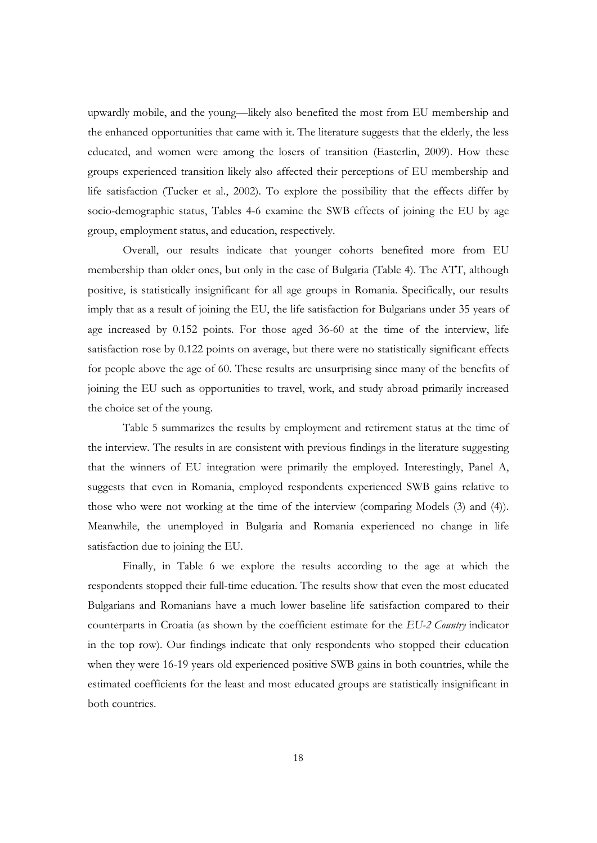upwardly mobile, and the young—likely also benefited the most from EU membership and the enhanced opportunities that came with it. The literature suggests that the elderly, the less educated, and women were among the losers of transition (Easterlin, 2009). How these groups experienced transition likely also affected their perceptions of EU membership and life satisfaction (Tucker et al., 2002). To explore the possibility that the effects differ by socio-demographic status, Tables 4-6 examine the SWB effects of joining the EU by age group, employment status, and education, respectively.

 Overall, our results indicate that younger cohorts benefited more from EU membership than older ones, but only in the case of Bulgaria (Table 4). The ATT, although positive, is statistically insignificant for all age groups in Romania. Specifically, our results imply that as a result of joining the EU, the life satisfaction for Bulgarians under 35 years of age increased by 0.152 points. For those aged 36-60 at the time of the interview, life satisfaction rose by 0.122 points on average, but there were no statistically significant effects for people above the age of 60. These results are unsurprising since many of the benefits of joining the EU such as opportunities to travel, work, and study abroad primarily increased the choice set of the young.

Table 5 summarizes the results by employment and retirement status at the time of the interview. The results in are consistent with previous findings in the literature suggesting that the winners of EU integration were primarily the employed. Interestingly, Panel A, suggests that even in Romania, employed respondents experienced SWB gains relative to those who were not working at the time of the interview (comparing Models (3) and (4)). Meanwhile, the unemployed in Bulgaria and Romania experienced no change in life satisfaction due to joining the EU.

Finally, in Table 6 we explore the results according to the age at which the respondents stopped their full-time education. The results show that even the most educated Bulgarians and Romanians have a much lower baseline life satisfaction compared to their counterparts in Croatia (as shown by the coefficient estimate for the *EU-2 Country* indicator in the top row). Our findings indicate that only respondents who stopped their education when they were 16-19 years old experienced positive SWB gains in both countries, while the estimated coefficients for the least and most educated groups are statistically insignificant in both countries.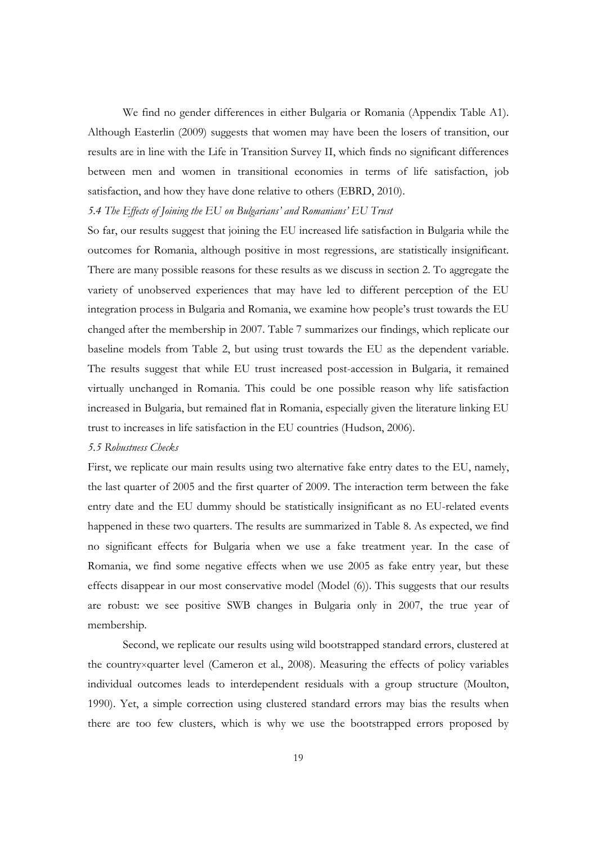We find no gender differences in either Bulgaria or Romania (Appendix Table A1). Although Easterlin (2009) suggests that women may have been the losers of transition, our results are in line with the Life in Transition Survey II, which finds no significant differences between men and women in transitional economies in terms of life satisfaction, job satisfaction, and how they have done relative to others (EBRD, 2010).

#### *5.4 The Effects of Joining the EU on Bulgarians' and Romanians' EU Trust*

So far, our results suggest that joining the EU increased life satisfaction in Bulgaria while the outcomes for Romania, although positive in most regressions, are statistically insignificant. There are many possible reasons for these results as we discuss in section 2. To aggregate the variety of unobserved experiences that may have led to different perception of the EU integration process in Bulgaria and Romania, we examine how people's trust towards the EU changed after the membership in 2007. Table 7 summarizes our findings, which replicate our baseline models from Table 2, but using trust towards the EU as the dependent variable. The results suggest that while EU trust increased post-accession in Bulgaria, it remained virtually unchanged in Romania. This could be one possible reason why life satisfaction increased in Bulgaria, but remained flat in Romania, especially given the literature linking EU trust to increases in life satisfaction in the EU countries (Hudson, 2006).

#### *5.5 Robustness Checks*

First, we replicate our main results using two alternative fake entry dates to the EU, namely, the last quarter of 2005 and the first quarter of 2009. The interaction term between the fake entry date and the EU dummy should be statistically insignificant as no EU-related events happened in these two quarters. The results are summarized in Table 8. As expected, we find no significant effects for Bulgaria when we use a fake treatment year. In the case of Romania, we find some negative effects when we use 2005 as fake entry year, but these effects disappear in our most conservative model (Model (6)). This suggests that our results are robust: we see positive SWB changes in Bulgaria only in 2007, the true year of membership.

Second, we replicate our results using wild bootstrapped standard errors, clustered at the country×quarter level (Cameron et al., 2008). Measuring the effects of policy variables individual outcomes leads to interdependent residuals with a group structure (Moulton, 1990). Yet, a simple correction using clustered standard errors may bias the results when there are too few clusters, which is why we use the bootstrapped errors proposed by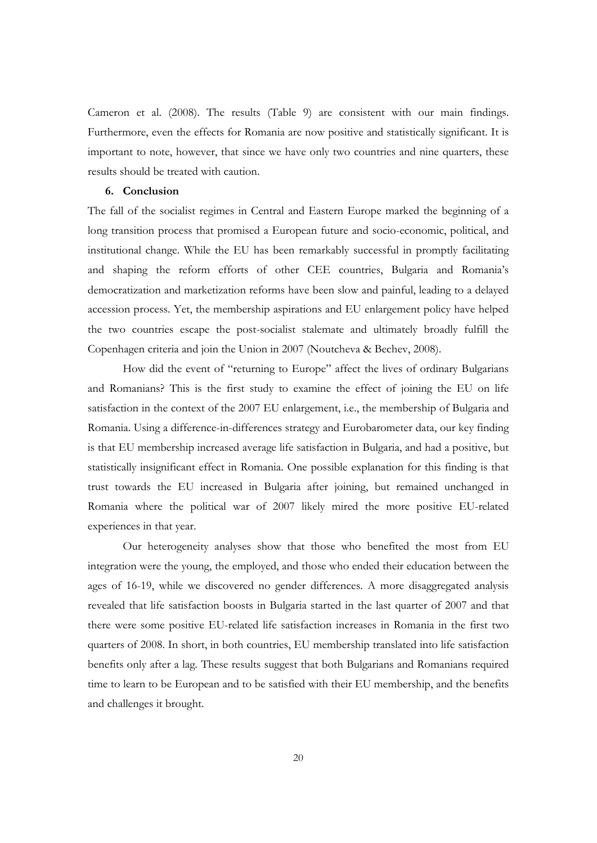Cameron et al. (2008). The results (Table 9) are consistent with our main findings. Furthermore, even the effects for Romania are now positive and statistically significant. It is important to note, however, that since we have only two countries and nine quarters, these results should be treated with caution.

#### **6. Conclusion**

The fall of the socialist regimes in Central and Eastern Europe marked the beginning of a long transition process that promised a European future and socio-economic, political, and institutional change. While the EU has been remarkably successful in promptly facilitating and shaping the reform efforts of other CEE countries, Bulgaria and Romania's democratization and marketization reforms have been slow and painful, leading to a delayed accession process. Yet, the membership aspirations and EU enlargement policy have helped the two countries escape the post-socialist stalemate and ultimately broadly fulfill the Copenhagen criteria and join the Union in 2007 (Noutcheva & Bechev, 2008).

 How did the event of "returning to Europe" affect the lives of ordinary Bulgarians and Romanians? This is the first study to examine the effect of joining the EU on life satisfaction in the context of the 2007 EU enlargement, i.e., the membership of Bulgaria and Romania. Using a difference-in-differences strategy and Eurobarometer data, our key finding is that EU membership increased average life satisfaction in Bulgaria, and had a positive, but statistically insignificant effect in Romania. One possible explanation for this finding is that trust towards the EU increased in Bulgaria after joining, but remained unchanged in Romania where the political war of 2007 likely mired the more positive EU-related experiences in that year.

 Our heterogeneity analyses show that those who benefited the most from EU integration were the young, the employed, and those who ended their education between the ages of 16-19, while we discovered no gender differences. A more disaggregated analysis revealed that life satisfaction boosts in Bulgaria started in the last quarter of 2007 and that there were some positive EU-related life satisfaction increases in Romania in the first two quarters of 2008. In short, in both countries, EU membership translated into life satisfaction benefits only after a lag. These results suggest that both Bulgarians and Romanians required time to learn to be European and to be satisfied with their EU membership, and the benefits and challenges it brought.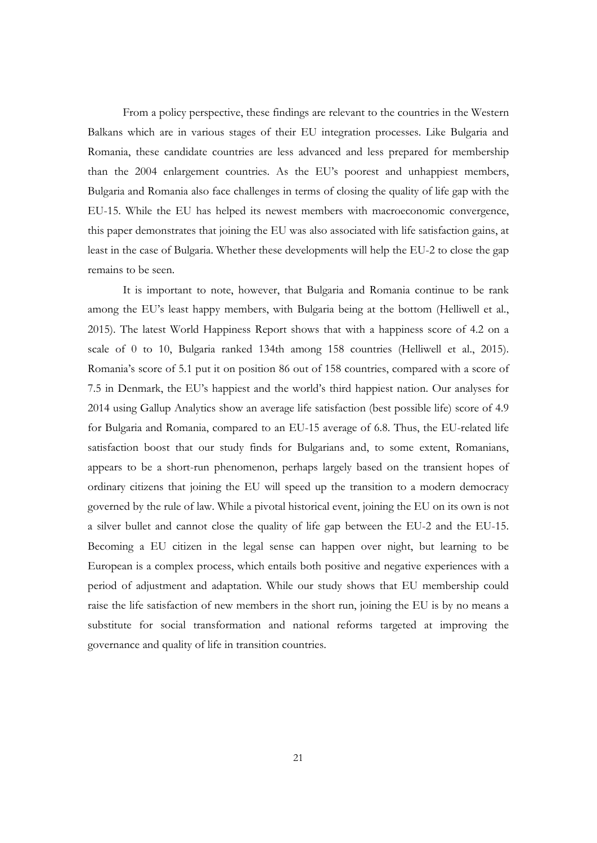From a policy perspective, these findings are relevant to the countries in the Western Balkans which are in various stages of their EU integration processes. Like Bulgaria and Romania, these candidate countries are less advanced and less prepared for membership than the 2004 enlargement countries. As the EU's poorest and unhappiest members, Bulgaria and Romania also face challenges in terms of closing the quality of life gap with the EU-15. While the EU has helped its newest members with macroeconomic convergence, this paper demonstrates that joining the EU was also associated with life satisfaction gains, at least in the case of Bulgaria. Whether these developments will help the EU-2 to close the gap remains to be seen.

It is important to note, however, that Bulgaria and Romania continue to be rank among the EU's least happy members, with Bulgaria being at the bottom (Helliwell et al., 2015). The latest World Happiness Report shows that with a happiness score of 4.2 on a scale of 0 to 10, Bulgaria ranked 134th among 158 countries (Helliwell et al., 2015). Romania's score of 5.1 put it on position 86 out of 158 countries, compared with a score of 7.5 in Denmark, the EU's happiest and the world's third happiest nation. Our analyses for 2014 using Gallup Analytics show an average life satisfaction (best possible life) score of 4.9 for Bulgaria and Romania, compared to an EU-15 average of 6.8. Thus, the EU-related life satisfaction boost that our study finds for Bulgarians and, to some extent, Romanians, appears to be a short-run phenomenon, perhaps largely based on the transient hopes of ordinary citizens that joining the EU will speed up the transition to a modern democracy governed by the rule of law. While a pivotal historical event, joining the EU on its own is not a silver bullet and cannot close the quality of life gap between the EU-2 and the EU-15. Becoming a EU citizen in the legal sense can happen over night, but learning to be European is a complex process, which entails both positive and negative experiences with a period of adjustment and adaptation. While our study shows that EU membership could raise the life satisfaction of new members in the short run, joining the EU is by no means a substitute for social transformation and national reforms targeted at improving the governance and quality of life in transition countries.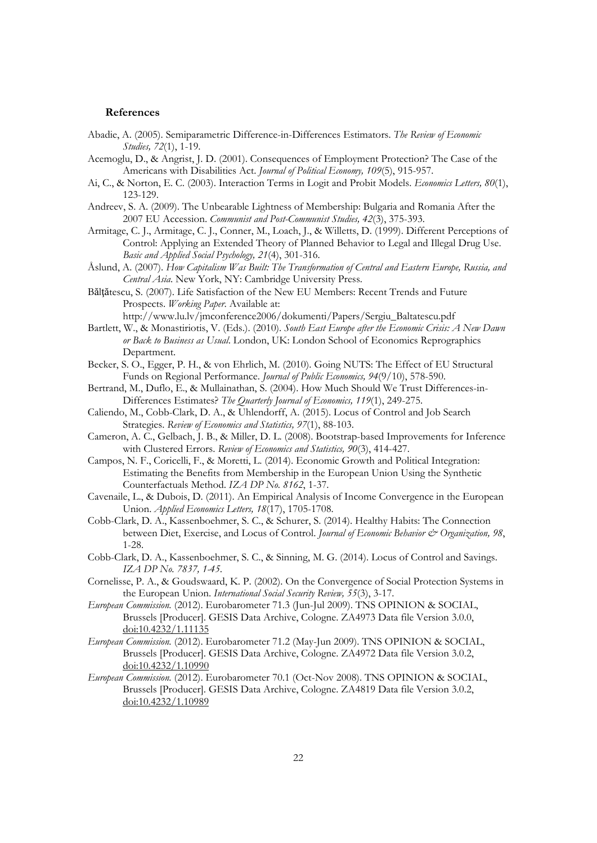#### **References**

- Abadie, A. (2005). Semiparametric Difference-in-Differences Estimators. *The Review of Economic Studies, 72*(1), 1-19.
- Acemoglu, D., & Angrist, J. D. (2001). Consequences of Employment Protection? The Case of the Americans with Disabilities Act. *Journal of Political Economy, 109*(5), 915-957.
- Ai, C., & Norton, E. C. (2003). Interaction Terms in Logit and Probit Models. *Economics Letters, 80*(1), 123-129.
- Andreev, S. A. (2009). The Unbearable Lightness of Membership: Bulgaria and Romania After the 2007 EU Accession. *Communist and Post-Communist Studies, 42*(3), 375-393.
- Armitage, C. J., Armitage, C. J., Conner, M., Loach, J., & Willetts, D. (1999). Different Perceptions of Control: Applying an Extended Theory of Planned Behavior to Legal and Illegal Drug Use. *Basic and Applied Social Psychology, 21*(4), 301-316.
- Åslund, A. (2007). *How Capitalism Was Built: The Transformation of Central and Eastern Europe, Russia, and Central Asia*. New York, NY: Cambridge University Press.
- Băltătescu, S. (2007). Life Satisfaction of the New EU Members: Recent Trends and Future Prospects. *Working Paper*. Available at:
- http://www.lu.lv/jmconference2006/dokumenti/Papers/Sergiu\_Baltatescu.pdf Bartlett, W., & Monastiriotis, V. (Eds.). (2010). *South East Europe after the Economic Crisis: A New Dawn*
- *or Back to Business as Usual*. London, UK: London School of Economics Reprographics Department.
- Becker, S. O., Egger, P. H., & von Ehrlich, M. (2010). Going NUTS: The Effect of EU Structural Funds on Regional Performance. *Journal of Public Economics, 94*(9/10), 578-590.
- Bertrand, M., Duflo, E., & Mullainathan, S. (2004). How Much Should We Trust Differences-in-Differences Estimates? *The Quarterly Journal of Economics, 119*(1), 249-275.
- Caliendo, M., Cobb-Clark, D. A., & Uhlendorff, A. (2015). Locus of Control and Job Search Strategies. *Review of Economics and Statistics, 97*(1), 88-103.
- Cameron, A. C., Gelbach, J. B., & Miller, D. L. (2008). Bootstrap-based Improvements for Inference with Clustered Errors. *Review of Economics and Statistics, 90*(3), 414-427.
- Campos, N. F., Coricelli, F., & Moretti, L. (2014). Economic Growth and Political Integration: Estimating the Benefits from Membership in the European Union Using the Synthetic Counterfactuals Method. *IZA DP No. 8162*, 1-37.
- Cavenaile, L., & Dubois, D. (2011). An Empirical Analysis of Income Convergence in the European Union. *Applied Economics Letters, 18*(17), 1705-1708.
- Cobb-Clark, D. A., Kassenboehmer, S. C., & Schurer, S. (2014). Healthy Habits: The Connection between Diet, Exercise, and Locus of Control. *Journal of Economic Behavior & Organization*, 98, 1-28.
- Cobb-Clark, D. A., Kassenboehmer, S. C., & Sinning, M. G. (2014). Locus of Control and Savings. *IZA DP No. 7837, 1-45*.
- Cornelisse, P. A., & Goudswaard, K. P. (2002). On the Convergence of Social Protection Systems in the European Union. *International Social Security Review, 55*(3), 3-17.
- *European Commission.* (2012). Eurobarometer 71.3 (Jun-Jul 2009). TNS OPINION & SOCIAL, Brussels [Producer]. GESIS Data Archive, Cologne. ZA4973 Data file Version 3.0.0, doi:10.4232/1.11135
- *European Commission.* (2012). Eurobarometer 71.2 (May-Jun 2009). TNS OPINION & SOCIAL, Brussels [Producer]. GESIS Data Archive, Cologne. ZA4972 Data file Version 3.0.2, doi:10.4232/1.10990
- *European Commission.* (2012). Eurobarometer 70.1 (Oct-Nov 2008). TNS OPINION & SOCIAL, Brussels [Producer]. GESIS Data Archive, Cologne. ZA4819 Data file Version 3.0.2, doi:10.4232/1.10989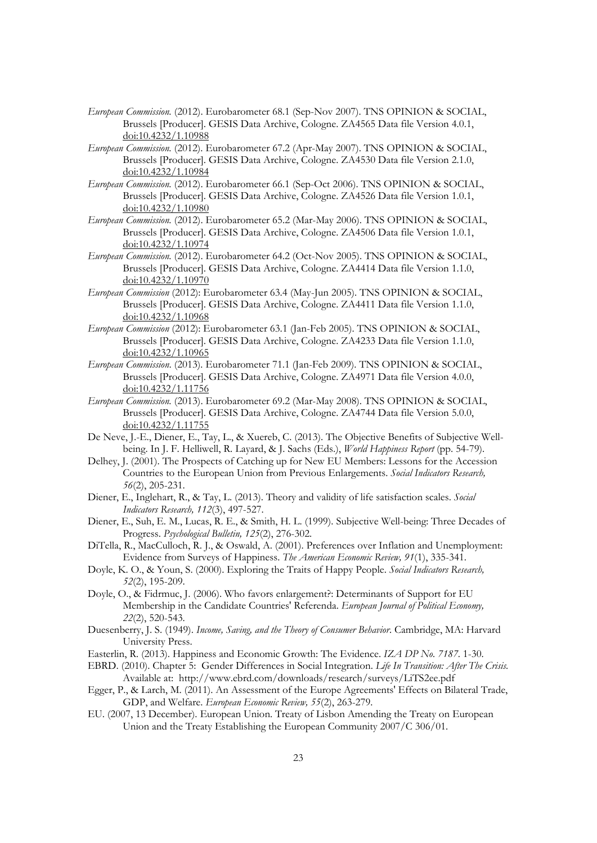- *European Commission.* (2012). Eurobarometer 68.1 (Sep-Nov 2007). TNS OPINION & SOCIAL, Brussels [Producer]. GESIS Data Archive, Cologne. ZA4565 Data file Version 4.0.1, doi:10.4232/1.10988
- *European Commission.* (2012). Eurobarometer 67.2 (Apr-May 2007). TNS OPINION & SOCIAL, Brussels [Producer]. GESIS Data Archive, Cologne. ZA4530 Data file Version 2.1.0, doi:10.4232/1.10984
- *European Commission.* (2012). Eurobarometer 66.1 (Sep-Oct 2006). TNS OPINION & SOCIAL, Brussels [Producer]. GESIS Data Archive, Cologne. ZA4526 Data file Version 1.0.1, doi:10.4232/1.10980
- *European Commission.* (2012). Eurobarometer 65.2 (Mar-May 2006). TNS OPINION & SOCIAL, Brussels [Producer]. GESIS Data Archive, Cologne. ZA4506 Data file Version 1.0.1, doi:10.4232/1.10974
- *European Commission.* (2012). Eurobarometer 64.2 (Oct-Nov 2005). TNS OPINION & SOCIAL, Brussels [Producer]. GESIS Data Archive, Cologne. ZA4414 Data file Version 1.1.0, doi:10.4232/1.10970
- *European Commission* (2012): Eurobarometer 63.4 (May-Jun 2005). TNS OPINION & SOCIAL, Brussels [Producer]. GESIS Data Archive, Cologne. ZA4411 Data file Version 1.1.0, doi:10.4232/1.10968
- *European Commission* (2012): Eurobarometer 63.1 (Jan-Feb 2005). TNS OPINION & SOCIAL, Brussels [Producer]. GESIS Data Archive, Cologne. ZA4233 Data file Version 1.1.0, doi:10.4232/1.10965
- *European Commission*. (2013)*.* Eurobarometer 71.1 (Jan-Feb 2009). TNS OPINION & SOCIAL, Brussels [Producer]. GESIS Data Archive, Cologne. ZA4971 Data file Version 4.0.0, doi:10.4232/1.11756
- *European Commission.* (2013). Eurobarometer 69.2 (Mar-May 2008). TNS OPINION & SOCIAL, Brussels [Producer]. GESIS Data Archive, Cologne. ZA4744 Data file Version 5.0.0, doi:10.4232/1.11755
- De Neve, J.-E., Diener, E., Tay, L., & Xuereb, C. (2013). The Objective Benefits of Subjective Wellbeing. In J. F. Helliwell, R. Layard, & J. Sachs (Eds.), *World Happiness Report* (pp. 54-79).
- Delhey, J. (2001). The Prospects of Catching up for New EU Members: Lessons for the Accession Countries to the European Union from Previous Enlargements. *Social Indicators Research, 56*(2), 205-231.
- Diener, E., Inglehart, R., & Tay, L. (2013). Theory and validity of life satisfaction scales. *Social Indicators Research, 112*(3), 497-527.
- Diener, E., Suh, E. M., Lucas, R. E., & Smith, H. L. (1999). Subjective Well-being: Three Decades of Progress. *Psychological Bulletin, 125*(2), 276-302.
- DiTella, R., MacCulloch, R. J., & Oswald, A. (2001). Preferences over Inflation and Unemployment: Evidence from Surveys of Happiness. *The American Economic Review, 91*(1), 335-341.
- Doyle, K. O., & Youn, S. (2000). Exploring the Traits of Happy People. *Social Indicators Research, 52*(2), 195-209.
- Doyle, O., & Fidrmuc, J. (2006). Who favors enlargement?: Determinants of Support for EU Membership in the Candidate Countries' Referenda. *European Journal of Political Economy, 22*(2), 520-543.
- Duesenberry, J. S. (1949). *Income, Saving, and the Theory of Consumer Behavior*. Cambridge, MA: Harvard University Press.
- Easterlin, R. (2013). Happiness and Economic Growth: The Evidence. *IZA DP No. 7187*. 1-30.
- EBRD. (2010). Chapter 5: Gender Differences in Social Integration. *Life In Transition: After The Crisis.* Available at: http://www.ebrd.com/downloads/research/surveys/LiTS2ee.pdf
- Egger, P., & Larch, M. (2011). An Assessment of the Europe Agreements' Effects on Bilateral Trade, GDP, and Welfare. *European Economic Review, 55*(2), 263-279.
- EU. (2007, 13 December). European Union. Treaty of Lisbon Amending the Treaty on European Union and the Treaty Establishing the European Community 2007/C 306/01.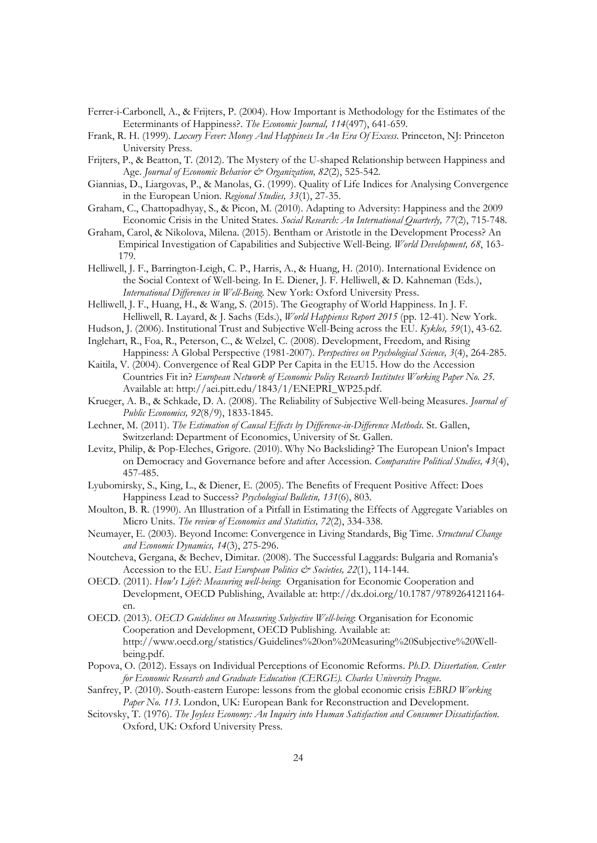- Ferrer-i-Carbonell, A., & Frijters, P. (2004). How Important is Methodology for the Estimates of the Eeterminants of Happiness?. *The Economic Journal, 114*(497), 641-659.
- Frank, R. H. (1999). *Luxury Fever: Money And Happiness In An Era Of Excess*. Princeton, NJ: Princeton University Press.
- Frijters, P., & Beatton, T. (2012). The Mystery of the U-shaped Relationship between Happiness and Age. *Journal of Economic Behavior & Organization*, 82(2), 525-542.
- Giannias, D., Liargovas, P., & Manolas, G. (1999). Quality of Life Indices for Analysing Convergence in the European Union. *Regional Studies, 33*(1), 27-35.
- Graham, C., Chattopadhyay, S., & Picon, M. (2010). Adapting to Adversity: Happiness and the 2009 Economic Crisis in the United States. *Social Research: An International Quarterly, 77*(2), 715-748.
- Graham, Carol, & Nikolova, Milena. (2015). Bentham or Aristotle in the Development Process? An Empirical Investigation of Capabilities and Subjective Well-Being. *World Development, 68*, 163- 179.
- Helliwell, J. F., Barrington-Leigh, C. P., Harris, A., & Huang, H. (2010). International Evidence on the Social Context of Well-being. In E. Diener, J. F. Helliwell, & D. Kahneman (Eds.), *International Differences in Well-Being*. New York: Oxford University Press.
- Helliwell, J. F., Huang, H., & Wang, S. (2015). The Geography of World Happiness. In J. F. Helliwell, R. Layard, & J. Sachs (Eds.), *World Happienss Report 2015* (pp. 12-41). New York.
- Hudson, J. (2006). Institutional Trust and Subjective Well-Being across the EU. *Kyklos, 59*(1), 43-62.
- Inglehart, R., Foa, R., Peterson, C., & Welzel, C. (2008). Development, Freedom, and Rising Happiness: A Global Perspective (1981-2007). *Perspectives on Psychological Science, 3*(4), 264-285.
- Kaitila, V. (2004). Convergence of Real GDP Per Capita in the EU15. How do the Accession Countries Fit in? *European Network of Economic Policy Research Institutes Working Paper No. 25*. Available at: http://aei.pitt.edu/1843/1/ENEPRI\_WP25.pdf.
- Krueger, A. B., & Schkade, D. A. (2008). The Reliability of Subjective Well-being Measures. *Journal of Public Economics, 92*(8/9), 1833-1845.
- Lechner, M. (2011). *The Estimation of Causal Effects by Difference-in-Difference Methods*. St. Gallen, Switzerland: Department of Economics, University of St. Gallen.
- Levitz, Philip, & Pop-Eleches, Grigore. (2010). Why No Backsliding? The European Union's Impact on Democracy and Governance before and after Accession. *Comparative Political Studies, 43*(4), 457-485.
- Lyubomirsky, S., King, L., & Diener, E. (2005). The Benefits of Frequent Positive Affect: Does Happiness Lead to Success? *Psychological Bulletin, 131*(6), 803.
- Moulton, B. R. (1990). An Illustration of a Pitfall in Estimating the Effects of Aggregate Variables on Micro Units. *The review of Economics and Statistics, 72*(2), 334-338.
- Neumayer, E. (2003). Beyond Income: Convergence in Living Standards, Big Time. *Structural Change and Economic Dynamics, 14*(3), 275-296.
- Noutcheva, Gergana, & Bechev, Dimitar. (2008). The Successful Laggards: Bulgaria and Romania's Accession to the EU. *East European Politics & Societies*, 22(1), 114-144.
- OECD. (2011). *How's Life?: Measuring well-being*: Organisation for Economic Cooperation and Development, OECD Publishing, Available at: http://dx.doi.org/10.1787/9789264121164 en.
- OECD. (2013). *OECD Guidelines on Measuring Subjective Well-being*: Organisation for Economic Cooperation and Development, OECD Publishing. Available at: http://www.oecd.org/statistics/Guidelines%20on%20Measuring%20Subjective%20Wellbeing.pdf.
- Popova, O. (2012). Essays on Individual Perceptions of Economic Reforms. *Ph.D. Dissertation. Center for Economic Research and Graduate Education (CERGE). Charles University Prague*.
- Sanfrey, P. (2010). South-eastern Europe: lessons from the global economic crisis *EBRD Working Paper No. 113*. London, UK: European Bank for Reconstruction and Development.
- Scitovsky, T. (1976). *The Joyless Economy: An Inquiry into Human Satisfaction and Consumer Dissatisfaction*. Oxford, UK: Oxford University Press.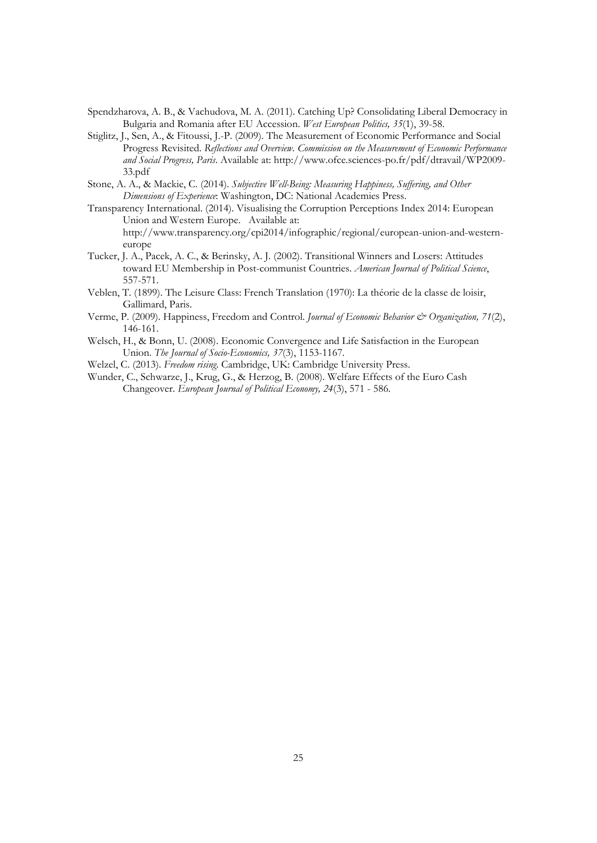- Spendzharova, A. B., & Vachudova, M. A. (2011). Catching Up? Consolidating Liberal Democracy in Bulgaria and Romania after EU Accession. *West European Politics, 35*(1), 39-58.
- Stiglitz, J., Sen, A., & Fitoussi, J.-P. (2009). The Measurement of Economic Performance and Social Progress Revisited. *Reflections and Overview. Commission on the Measurement of Economic Performance and Social Progress, Paris*. Available at: http://www.ofce.sciences-po.fr/pdf/dtravail/WP2009- 33.pdf
- Stone, A. A., & Mackie, C. (2014). *Subjective Well-Being: Measuring Happiness, Suffering, and Other Dimensions of Experience*: Washington, DC: National Academies Press.
- Transparency International. (2014). Visualising the Corruption Perceptions Index 2014: European Union and Western Europe. Available at: http://www.transparency.org/cpi2014/infographic/regional/european-union-and-westerneurope
- Tucker, J. A., Pacek, A. C., & Berinsky, A. J. (2002). Transitional Winners and Losers: Attitudes toward EU Membership in Post-communist Countries. *American Journal of Political Science*, 557-571.
- Veblen, T. (1899). The Leisure Class: French Translation (1970): La théorie de la classe de loisir, Gallimard, Paris.
- Verme, P. (2009). Happiness, Freedom and Control. *Journal of Economic Behavior & Organization, 71*(2), 146-161.
- Welsch, H., & Bonn, U. (2008). Economic Convergence and Life Satisfaction in the European Union. *The Journal of Socio-Economics, 37*(3), 1153-1167.
- Welzel, C. (2013). *Freedom rising*. Cambridge, UK: Cambridge University Press.
- Wunder, C., Schwarze, J., Krug, G., & Herzog, B. (2008). Welfare Effects of the Euro Cash Changeover. *European Journal of Political Economy, 24*(3), 571 - 586.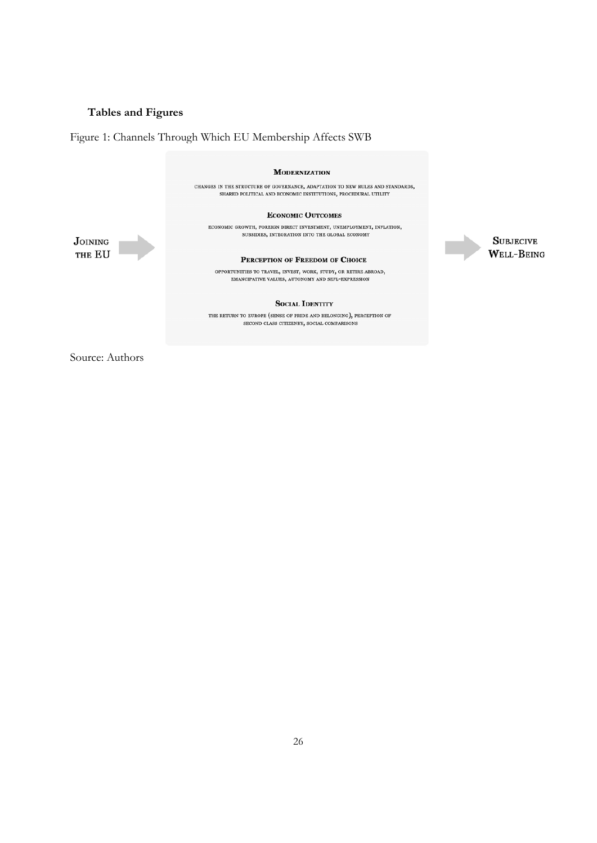## **Tables and Figures**

Figure 1: Channels Through Which EU Membership Affects SWB



**SUBJECIVE** WELL-BEING

Source: Authors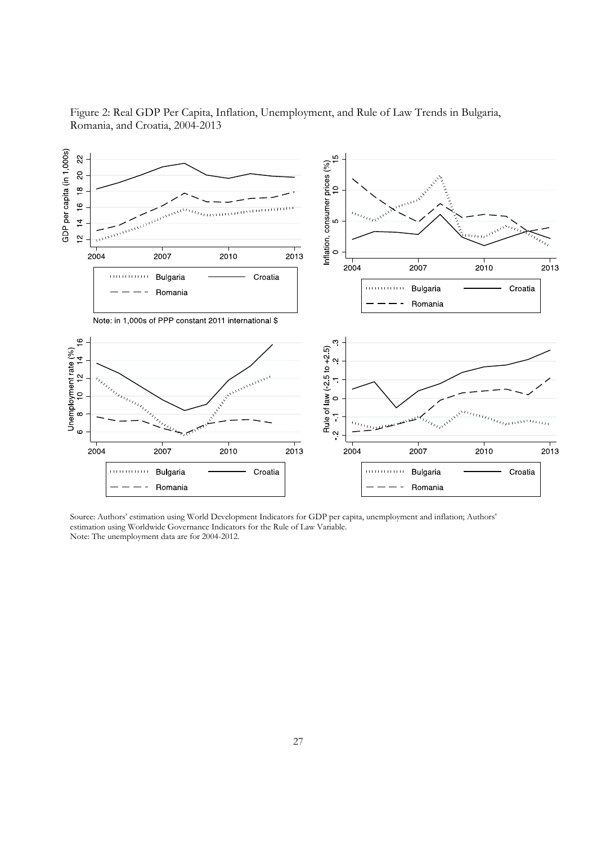

Figure 2: Real GDP Per Capita, Inflation, Unemployment, and Rule of Law Trends in Bulgaria, Romania, and Croatia, 2004-2013

Source: Authors' estimation using World Development Indicators for GDP per capita, unemployment and inflation; Authors' estimation using Worldwide Governance Indicators for the Rule of Law Variable. Note: The unemployment data are for 2004-2012.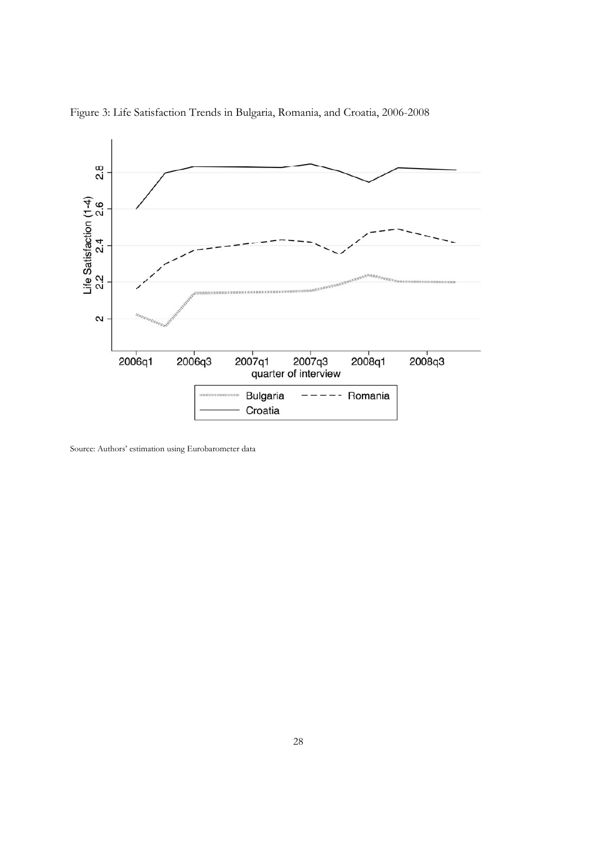



Source: Authors' estimation using Eurobarometer data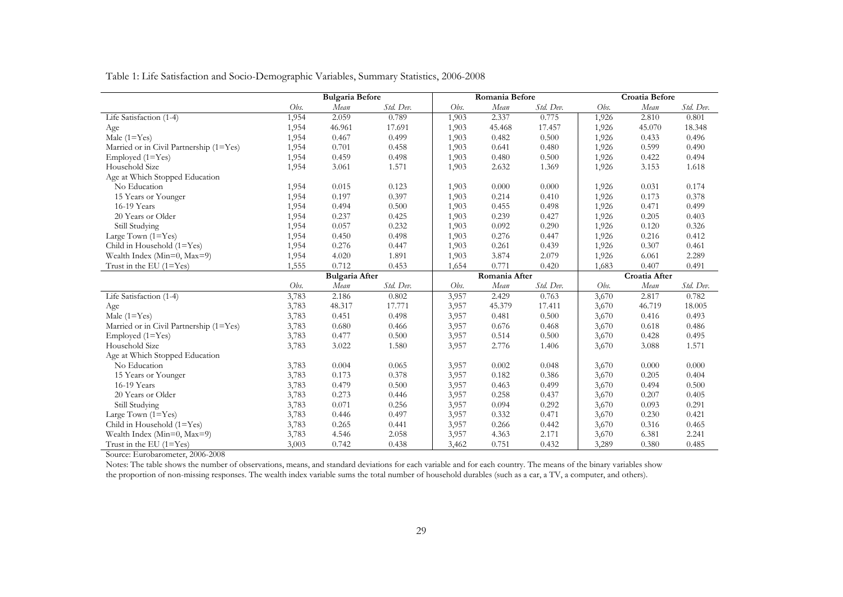Table 1: Life Satisfaction and Socio-Demographic Variables, Summary Statistics, 2006-2008

|                                         |                       | <b>Bulgaria Before</b> |           | Romania Before |        |           | Croatia Before |        |           |
|-----------------------------------------|-----------------------|------------------------|-----------|----------------|--------|-----------|----------------|--------|-----------|
|                                         | Obs.                  | Mean                   | Std. Dev. | Obs.           | Mean   | Std. Dev. | Obs.           | Mean   | Std. Dev. |
| Life Satisfaction (1-4)                 | 1,954                 | 2.059                  | 0.789     | 1,903          | 2.337  | 0.775     | 1,926          | 2.810  | 0.801     |
| Age                                     | 1,954                 | 46.961                 | 17.691    | 1,903          | 45.468 | 17.457    | 1,926          | 45.070 | 18.348    |
| Male $(1 = Yes)$                        | 1,954                 | 0.467                  | 0.499     | 1,903          | 0.482  | 0.500     | 1,926          | 0.433  | 0.496     |
| Married or in Civil Partnership (1=Yes) | 1,954                 | 0.701                  | 0.458     | 1,903          | 0.641  | 0.480     | 1,926          | 0.599  | 0.490     |
| $Emploved (1=Yes)$                      | 1,954                 | 0.459                  | 0.498     | 1,903          | 0.480  | 0.500     | 1,926          | 0.422  | 0.494     |
| Household Size                          | 1,954                 | 3.061                  | 1.571     | 1,903          | 2.632  | 1.369     | 1,926          | 3.153  | 1.618     |
| Age at Which Stopped Education          |                       |                        |           |                |        |           |                |        |           |
| No Education                            | 1,954                 | 0.015                  | 0.123     | 1,903          | 0.000  | 0.000     | 1,926          | 0.031  | 0.174     |
| 15 Years or Younger                     | 1,954                 | 0.197                  | 0.397     | 1,903          | 0.214  | 0.410     | 1,926          | 0.173  | 0.378     |
| 16-19 Years                             | 1,954                 | 0.494                  | 0.500     | 1,903          | 0.455  | 0.498     | 1,926          | 0.471  | 0.499     |
| 20 Years or Older                       | 1,954                 | 0.237                  | 0.425     | 1,903          | 0.239  | 0.427     | 1,926          | 0.205  | 0.403     |
| Still Studying                          | 1,954                 | 0.057                  | 0.232     | 1,903          | 0.092  | 0.290     | 1,926          | 0.120  | 0.326     |
| Large Town $(1 = Yes)$                  | 1,954                 | 0.450                  | 0.498     | 1,903          | 0.276  | 0.447     | 1,926          | 0.216  | 0.412     |
| Child in Household (1=Yes)              | 1,954                 | 0.276                  | 0.447     | 1,903          | 0.261  | 0.439     | 1,926          | 0.307  | 0.461     |
| Wealth Index ( $Min=0$ , $Max=9$ )      | 1,954                 | 4.020                  | 1.891     | 1,903          | 3.874  | 2.079     | 1,926          | 6.061  | 2.289     |
| Trust in the EU $(1=Yes)$               | 1,555                 | 0.712                  | 0.453     | 1,654          | 0.771  | 0.420     | 1,683          | 0.407  | 0.491     |
|                                         | <b>Bulgaria After</b> |                        |           | Romania After  |        |           | Croatia After  |        |           |
|                                         | Obs.                  | Mean                   | Std. Dev. | Obs.           | Mean   | Std. Dev. | Obs.           | Mean   | Std. Dev. |
| Life Satisfaction (1-4)                 | 3,783                 | 2.186                  | 0.802     | 3,957          | 2.429  | 0.763     | 3,670          | 2.817  | 0.782     |
| Age                                     | 3,783                 | 48.317                 | 17.771    | 3,957          | 45.379 | 17.411    | 3,670          | 46.719 | 18.005    |
| Male $(1 = Yes)$                        | 3,783                 | 0.451                  | 0.498     | 3,957          | 0.481  | 0.500     | 3,670          | 0.416  | 0.493     |
| Married or in Civil Partnership (1=Yes) | 3,783                 | 0.680                  | 0.466     | 3,957          | 0.676  | 0.468     | 3,670          | 0.618  | 0.486     |
| Employed $(1 = Yes)$                    | 3,783                 | 0.477                  | 0.500     | 3,957          | 0.514  | 0.500     | 3,670          | 0.428  | 0.495     |
| Household Size                          | 3,783                 | 3.022                  | 1.580     | 3,957          | 2.776  | 1.406     | 3,670          | 3.088  | 1.571     |
| Age at Which Stopped Education          |                       |                        |           |                |        |           |                |        |           |
| No Education                            | 3,783                 | 0.004                  | 0.065     | 3,957          | 0.002  | 0.048     | 3,670          | 0.000  | 0.000     |
| 15 Years or Younger                     | 3,783                 | 0.173                  | 0.378     | 3,957          | 0.182  | 0.386     | 3,670          | 0.205  | 0.404     |
| 16-19 Years                             | 3,783                 | 0.479                  | 0.500     | 3,957          | 0.463  | 0.499     | 3,670          | 0.494  | 0.500     |
| 20 Years or Older                       | 3,783                 | 0.273                  | 0.446     | 3,957          | 0.258  | 0.437     | 3,670          | 0.207  | 0.405     |
| Still Studying                          | 3,783                 | 0.071                  | 0.256     | 3,957          | 0.094  | 0.292     | 3,670          | 0.093  | 0.291     |
| Large Town (1=Yes)                      | 3,783                 | 0.446                  | 0.497     | 3,957          | 0.332  | 0.471     | 3,670          | 0.230  | 0.421     |
| Child in Household (1=Yes)              | 3,783                 | 0.265                  | 0.441     | 3,957          | 0.266  | 0.442     | 3,670          | 0.316  | 0.465     |
| Wealth Index ( $Min=0$ , $Max=9$ )      | 3,783                 | 4.546                  | 2.058     | 3,957          | 4.363  | 2.171     | 3,670          | 6.381  | 2.241     |
| Trust in the EU $(1=Yes)$               | 3,003                 | 0.742                  | 0.438     | 3,462          | 0.751  | 0.432     | 3,289          | 0.380  | 0.485     |

Source: Eurobarometer, 2006-2008

Notes: The table shows the number of observations, means, and standard deviations for each variable and for each country. The means of the binary variables show the proportion of non-missing responses. The wealth index variable sums the total number of household durables (such as a car, a TV, a computer, and others).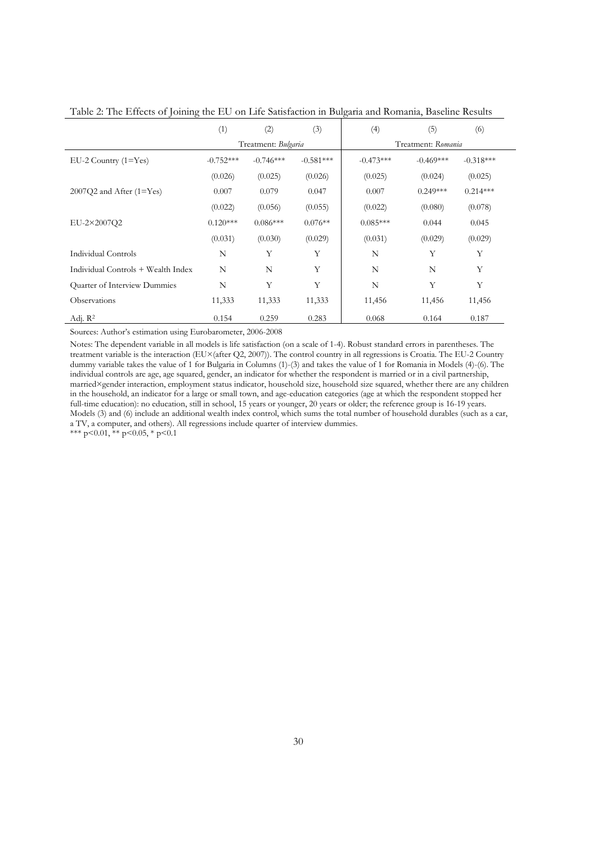|                                    | (1)         | (2)                 | (3)         | (4)                | (5)         | (6)         |  |
|------------------------------------|-------------|---------------------|-------------|--------------------|-------------|-------------|--|
|                                    |             | Treatment: Bulgaria |             | Treatment: Romania |             |             |  |
| $EU-2$ Country $(1=Yes)$           | $-0.752***$ | $-0.746***$         | $-0.581***$ | $-0.473***$        | $-0.469***$ | $-0.318***$ |  |
|                                    | (0.026)     | (0.025)             | (0.026)     | (0.025)            | (0.024)     | (0.025)     |  |
| $2007Q2$ and After (1=Yes)         | 0.007       | 0.079               | 0.047       | 0.007              | $0.249***$  | $0.214***$  |  |
|                                    | (0.022)     | (0.056)             | (0.055)     | (0.022)            | (0.080)     | (0.078)     |  |
| EU-2×2007Q2                        | $0.120***$  | $0.086***$          | $0.076**$   | $0.085***$         | 0.044       | 0.045       |  |
|                                    | (0.031)     | (0.030)             | (0.029)     | (0.031)            | (0.029)     | (0.029)     |  |
| Individual Controls                | N           | Y                   | Y           | N                  | Y           | Y           |  |
| Individual Controls + Wealth Index | N           | N                   | Y           | N                  | N           | Y           |  |
| Quarter of Interview Dummies       | N           | Y                   | Y           | N                  | Y           | Y           |  |
| Observations                       | 11,333      | 11,333              | 11,333      | 11,456             | 11,456      | 11,456      |  |
| Adj. $R^2$                         | 0.154       | 0.259               | 0.283       | 0.068              | 0.164       | 0.187       |  |

Table 2: The Effects of Joining the EU on Life Satisfaction in Bulgaria and Romania, Baseline Results

Sources: Author's estimation using Eurobarometer, 2006-2008

Notes: The dependent variable in all models is life satisfaction (on a scale of 1-4). Robust standard errors in parentheses. The treatment variable is the interaction (EU×(after Q2, 2007)). The control country in all regressions is Croatia. The EU-2 Country dummy variable takes the value of 1 for Bulgaria in Columns (1)-(3) and takes the value of 1 for Romania in Models (4)-(6). The individual controls are age, age squared, gender, an indicator for whether the respondent is married or in a civil partnership, married×gender interaction, employment status indicator, household size, household size squared, whether there are any children in the household, an indicator for a large or small town, and age-education categories (age at which the respondent stopped her full-time education): no education, still in school, 15 years or younger, 20 years or older; the reference group is 16-19 years. Models (3) and (6) include an additional wealth index control, which sums the total number of household durables (such as a car, a TV, a computer, and others). All regressions include quarter of interview dummies.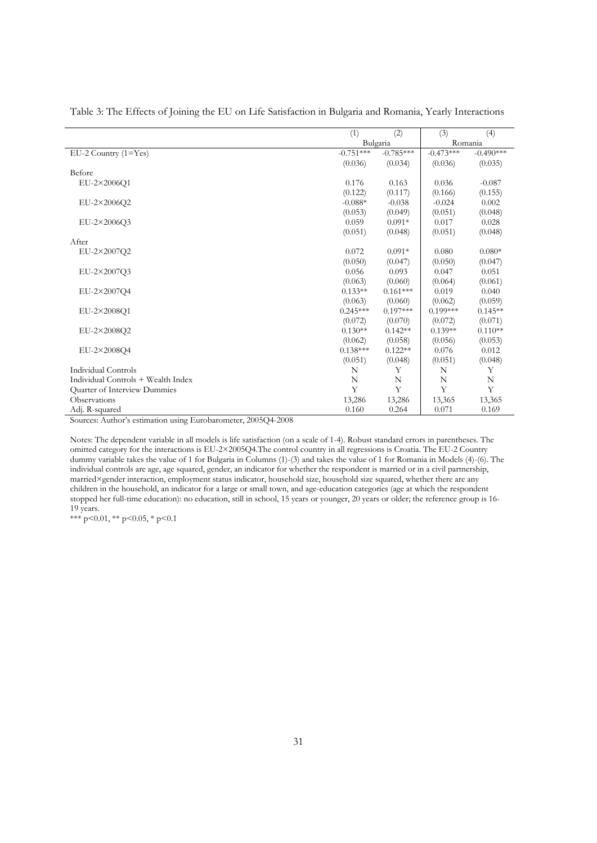|                                    | (1)         | (2)         | (3)         | (4)         |
|------------------------------------|-------------|-------------|-------------|-------------|
|                                    | Bulgaria    |             | Romania     |             |
| $EU-2$ Country $(1=Yes)$           | $-0.751***$ | $-0.785***$ | $-0.473***$ | $-0.490***$ |
|                                    | (0.036)     | (0.034)     | (0.036)     | (0.035)     |
| Before                             |             |             |             |             |
| EU-2×2006Q1                        | 0.176       | 0.163       | 0.036       | $-0.087$    |
|                                    | (0.122)     | (0.117)     | (0.166)     | (0.155)     |
| EU-2×2006Q2                        | $-0.088*$   | $-0.038$    | $-0.024$    | 0.002       |
|                                    | (0.053)     | (0.049)     | (0.051)     | (0.048)     |
| EU-2×2006Q3                        | 0.059       | $0.091*$    | 0.017       | 0.028       |
|                                    | (0.051)     | (0.048)     | (0.051)     | (0.048)     |
| After                              |             |             |             |             |
| EU-2×2007Q2                        | 0.072       | $0.091*$    | 0.080       | $0.080*$    |
|                                    | (0.050)     | (0.047)     | (0.050)     | (0.047)     |
| EU-2×2007Q3                        | 0.056       | 0.093       | 0.047       | 0.051       |
|                                    | (0.063)     | (0.060)     | (0.064)     | (0.061)     |
| EU-2×2007Q4                        | $0.133**$   | $0.161***$  | 0.019       | 0.040       |
|                                    | (0.063)     | (0.060)     | (0.062)     | (0.059)     |
| EU-2×2008O1                        | $0.245***$  | $0.197***$  | $0.199***$  | $0.145**$   |
|                                    | (0.072)     | (0.070)     | (0.072)     | (0.071)     |
| EU-2×2008O2                        | $0.130**$   | $0.142**$   | $0.139**$   | $0.110**$   |
|                                    | (0.062)     | (0.058)     | (0.056)     | (0.053)     |
| EU-2×2008O4                        | $0.138***$  | $0.122**$   | 0.076       | 0.012       |
|                                    | (0.051)     | (0.048)     | (0.051)     | (0.048)     |
| Individual Controls                | N           | Υ           | N           | Y           |
| Individual Controls + Wealth Index | N           | N           | N           | N           |
| Quarter of Interview Dummies       | Y           | Y           | Y           | Y           |
| Observations                       | 13,286      | 13,286      | 13,365      | 13,365      |
| Adj. R-squared                     | 0.160       | 0.264       | 0.071       | 0.169       |

Table 3: The Effects of Joining the EU on Life Satisfaction in Bulgaria and Romania, Yearly Interactions

Sources: Author's estimation using Eurobarometer, 2005Q4-2008

Notes: The dependent variable in all models is life satisfaction (on a scale of 1-4). Robust standard errors in parentheses. The omitted category for the interactions is EU-2×2005Q4.The control country in all regressions is Croatia. The EU-2 Country dummy variable takes the value of 1 for Bulgaria in Columns (1)-(3) and takes the value of 1 for Romania in Models (4)-(6). The individual controls are age, age squared, gender, an indicator for whether the respondent is married or in a civil partnership, married×gender interaction, employment status indicator, household size, household size squared, whether there are any children in the household, an indicator for a large or small town, and age-education categories (age at which the respondent stopped her full-time education): no education, still in school, 15 years or younger, 20 years or older; the reference group is 16- 19 years.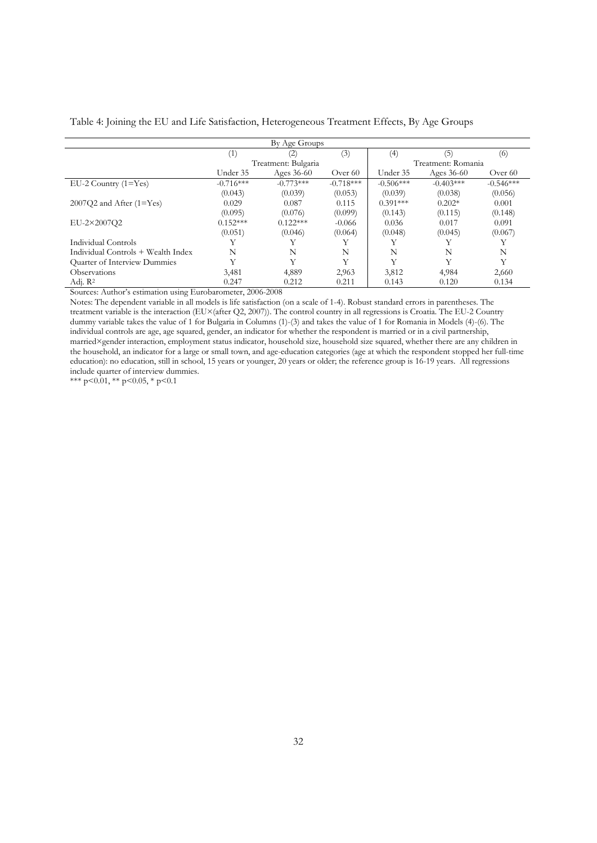|                                     |                   | By Age Groups       |             |             |                    |             |
|-------------------------------------|-------------------|---------------------|-------------|-------------|--------------------|-------------|
|                                     | $\left( 1\right)$ | (2)                 | (3)         | (4)         | (5)                | (6)         |
|                                     |                   | Treatment: Bulgaria |             |             | Treatment: Romania |             |
|                                     | Under 35          | Ages $36-60$        | Over 60     | Under 35    | Ages $36-60$       | Over 60     |
| $EU-2$ Country $(1=Yes)$            | $-0.716***$       | $-0.773***$         | $-0.718***$ | $-0.506***$ | $-0.403***$        | $-0.546***$ |
|                                     | (0.043)           | (0.039)             | (0.053)     | (0.039)     | (0.038)            | (0.056)     |
| $2007Q2$ and After (1=Yes)          | 0.029             | 0.087               | 0.115       | $0.391***$  | $0.202*$           | 0.001       |
|                                     | (0.095)           | (0.076)             | (0.099)     | (0.143)     | (0.115)            | (0.148)     |
| EU-2×2007O2                         | $0.152***$        | $0.122***$          | $-0.066$    | 0.036       | 0.017              | 0.091       |
|                                     | (0.051)           | (0.046)             | (0.064)     | (0.048)     | (0.045)            | (0.067)     |
| Individual Controls                 |                   |                     |             |             |                    |             |
| Individual Controls + Wealth Index  | N                 | N                   | N           | N           | N                  | N           |
| <b>Ouarter of Interview Dummies</b> |                   | Y                   | v           | Y           | Y                  | Y           |
| <b>Observations</b>                 | 3,481             | 4,889               | 2,963       | 3,812       | 4,984              | 2,660       |
| Adj. $R^2$                          | 0.247             | 0.212               | 0.211       | 0.143       | 0.120              | 0.134       |

Table 4: Joining the EU and Life Satisfaction, Heterogeneous Treatment Effects, By Age Groups

Sources: Author's estimation using Eurobarometer, 2006-2008

Notes: The dependent variable in all models is life satisfaction (on a scale of 1-4). Robust standard errors in parentheses. The treatment variable is the interaction (EU×(after Q2, 2007)). The control country in all regressions is Croatia. The EU-2 Country dummy variable takes the value of 1 for Bulgaria in Columns (1)-(3) and takes the value of 1 for Romania in Models (4)-(6). The individual controls are age, age squared, gender, an indicator for whether the respondent is married or in a civil partnership, married×gender interaction, employment status indicator, household size, household size squared, whether there are any children in the household, an indicator for a large or small town, and age-education categories (age at which the respondent stopped her full-time education): no education, still in school, 15 years or younger, 20 years or older; the reference group is 16-19 years. All regressions include quarter of interview dummies.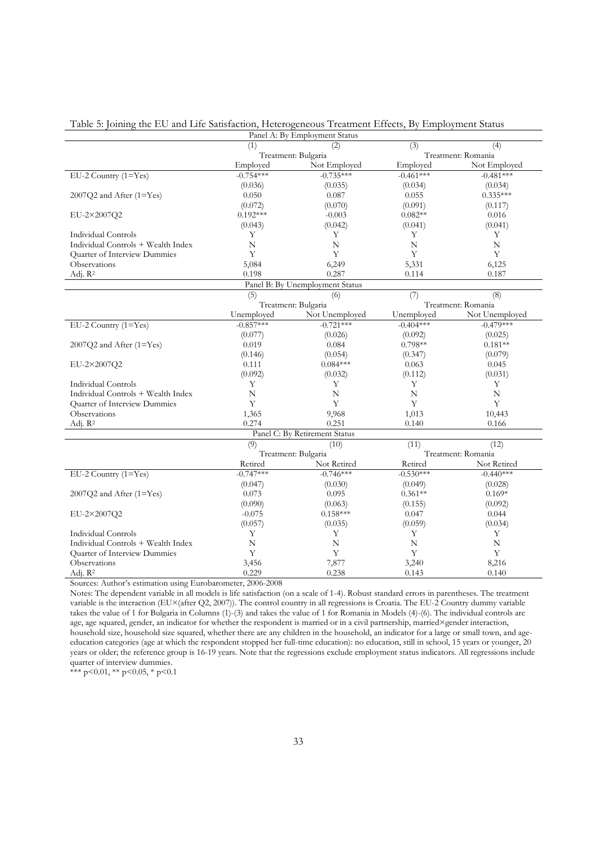Table 5: Joining the EU and Life Satisfaction, Heterogeneous Treatment Effects, By Employment Status

|                                    |                     | Panel A: By Employment Status   |                 |                    |
|------------------------------------|---------------------|---------------------------------|-----------------|--------------------|
|                                    | (1)                 | (2)                             | $\overline{3)}$ | (4)                |
|                                    | Treatment: Bulgaria |                                 |                 | Treatment: Romania |
|                                    | Employed            | Not Employed                    | Employed        | Not Employed       |
| EU-2 Country $(1 = Yes)$           | $-0.754***$         | $-0.735***$                     | $-0.461***$     | $-0.481***$        |
|                                    | (0.036)             | (0.035)                         | (0.034)         | (0.034)            |
| 2007Q2 and After (1=Yes)           | 0.050               | 0.087                           | 0.055           | $0.335***$         |
|                                    | (0.072)             | (0.070)                         | (0.091)         | (0.117)            |
| EU-2×2007Q2                        | $0.192***$          | $-0.003$                        | $0.082**$       | 0.016              |
|                                    | (0.043)             | (0.042)                         | (0.041)         | (0.041)            |
| <b>Individual Controls</b>         | Y                   | Y                               | Y               | Y                  |
| Individual Controls + Wealth Index | N                   | N                               | $\overline{N}$  | N                  |
| Quarter of Interview Dummies       | Y                   | Y                               | Y               | Y                  |
| Observations                       | 5,084               | 6,249                           | 5,331           | 6,125              |
| Adj. R <sup>2</sup>                | 0.198               | 0.287                           | 0.114           | 0.187              |
|                                    |                     | Panel B: By Unemployment Status |                 |                    |
|                                    | (5)                 | (6)                             | (7)             | (8)                |
|                                    | Treatment: Bulgaria |                                 |                 | Treatment: Romania |
|                                    | Unemployed          | Not Unemployed                  | Unemployed      | Not Unemployed     |
| EU-2 Country (1=Yes)               | $-0.857***$         | $-0.721***$                     | $-0.404***$     | $-0.479***$        |
|                                    |                     |                                 |                 |                    |
|                                    | (0.077)             | (0.026)                         | (0.092)         | (0.025)            |
| 2007Q2 and After (1=Yes)           | 0.019               | 0.084                           | $0.798**$       | $0.181**$          |
|                                    | (0.146)             | (0.054)                         | (0.347)         | (0.079)            |
| EU-2×2007Q2                        | 0.111               | $0.084***$                      | 0.063           | 0.045              |
|                                    | (0.092)             | (0.032)                         | (0.112)         | (0.031)            |
| <b>Individual Controls</b>         | Υ                   | Υ                               | Y               | Υ                  |
| Individual Controls + Wealth Index | $\mathbf N$         | N                               | $\mathbf N$     | $\mathbf N$        |
| Quarter of Interview Dummies       | Y                   | Y                               | Y               | Y                  |
| Observations                       | 1,365               | 9,968                           | 1,013           | 10,443             |
| Adj. R <sup>2</sup>                | 0.274               | 0.251                           | 0.140           | 0.166              |
|                                    |                     | Panel C: By Retirement Status   |                 |                    |
|                                    | (9)                 | (10)                            | (11)            | (12)               |
|                                    | Treatment: Bulgaria |                                 |                 | Treatment: Romania |
|                                    | Retired             | Not Retired                     | Retired         | Not Retired        |
| $EU-2$ Country $(1=Yes)$           | $-0.747***$         | $-0.746***$                     | $-0.530***$     | $-0.440***$        |
|                                    | (0.047)             | (0.030)                         | (0.049)         | (0.028)            |
| 2007Q2 and After (1=Yes)           | 0.073               | 0.095                           | $0.361**$       | $0.169*$           |
|                                    | (0.090)             | (0.063)                         | (0.155)         | (0.092)            |
| EU-2×2007Q2                        | $-0.075$            | $0.158***$                      | 0.047           | 0.044              |
|                                    | (0.057)             | (0.035)                         | (0.059)         | (0.034)            |
| <b>Individual Controls</b>         | Y                   | Y                               | Y               | Y                  |
| Individual Controls + Wealth Index | $\mathbf N$         | $\mathbf N$                     | $\mathbf N$     | $\mathbf N$        |
| Quarter of Interview Dummies       | Y                   | Y                               | Y               | Y                  |
| Observations                       | 3,456               | 7,877                           | 3,240           | 8,216              |
| Adj. R <sup>2</sup>                | 0.229               | 0.238                           | 0.143           | 0.140              |
|                                    |                     |                                 |                 |                    |

Sources: Author's estimation using Eurobarometer, 2006-2008

Notes: The dependent variable in all models is life satisfaction (on a scale of 1-4). Robust standard errors in parentheses. The treatment variable is the interaction (EU×(after Q2, 2007)). The control country in all regressions is Croatia. The EU-2 Country dummy variable takes the value of 1 for Bulgaria in Columns (1)-(3) and takes the value of 1 for Romania in Models (4)-(6). The individual controls are age, age squared, gender, an indicator for whether the respondent is married or in a civil partnership, married×gender interaction, household size, household size squared, whether there are any children in the household, an indicator for a large or small town, and ageeducation categories (age at which the respondent stopped her full-time education): no education, still in school, 15 years or younger, 20 years or older; the reference group is 16-19 years. Note that the regressions exclude employment status indicators. All regressions include quarter of interview dummies.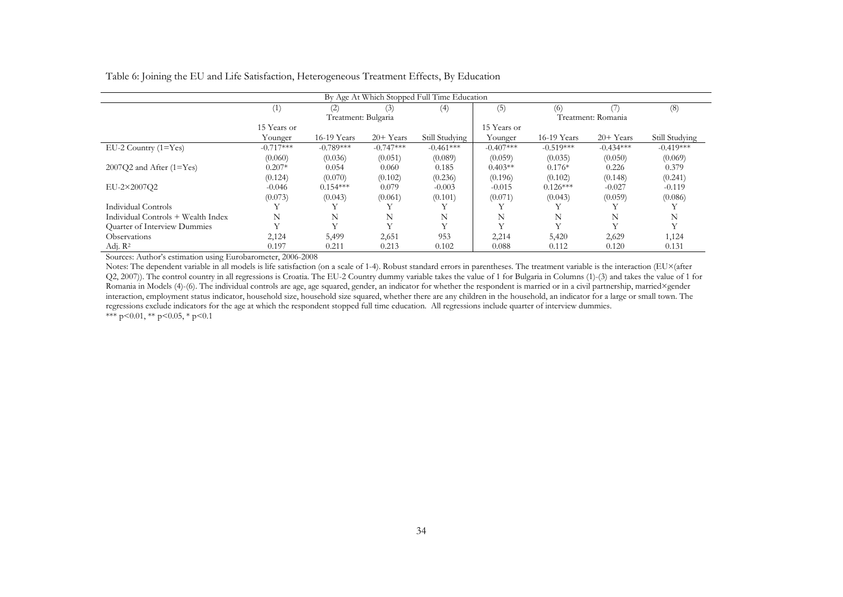Table 6: Joining the EU and Life Satisfaction, Heterogeneous Treatment Effects, By Education

| By Age At Which Stopped Full Time Education |              |                         |              |                |              |              |                    |                |  |
|---------------------------------------------|--------------|-------------------------|--------------|----------------|--------------|--------------|--------------------|----------------|--|
|                                             | (1)          | (2)                     | (3)          | (4)            | (5)          | (6)          |                    | (8)            |  |
|                                             |              | Treatment: Bulgaria     |              |                |              |              | Treatment: Romania |                |  |
|                                             | 15 Years or  |                         |              |                | 15 Years or  |              |                    |                |  |
|                                             | Younger      | 16-19 Years             | $20+Years$   | Still Studving | Younger      | 16-19 Years  | $20+Years$         | Still Studying |  |
| $EU-2$ Country $(1=Yes)$                    | $-0.717***$  | $-0.789***$             | $-0.747***$  | $-0.461***$    | $-0.407***$  | $-0.519***$  | $-0.434***$        | $-0.419***$    |  |
|                                             | (0.060)      | (0.036)                 | (0.051)      | (0.089)        | (0.059)      | (0.035)      | (0.050)            | (0.069)        |  |
| $2007Q2$ and After $(1=Yes)$                | $0.207*$     | 0.054                   | 0.060        | 0.185          | $0.403**$    | $0.176*$     | 0.226              | 0.379          |  |
|                                             | (0.124)      | (0.070)                 | (0.102)      | (0.236)        | (0.196)      | (0.102)      | (0.148)            | (0.241)        |  |
| EU-2×2007O2                                 | $-0.046$     | $0.154***$              | 0.079        | $-0.003$       | $-0.015$     | $0.126***$   | $-0.027$           | $-0.119$       |  |
|                                             | (0.073)      | (0.043)                 | (0.061)      | (0.101)        | (0.071)      | (0.043)      | (0.059)            | (0.086)        |  |
| Individual Controls                         |              |                         |              |                |              |              |                    |                |  |
| Individual Controls + Wealth Index          | N            | N                       | N            | N              | N            | N            | N                  | N              |  |
| Quarter of Interview Dummies                | $\mathbf{v}$ | $\overline{\mathbf{v}}$ | $\mathbf{V}$ | $\mathbf{V}$   | $\mathbf{V}$ | $\mathbf{v}$ | $\mathbf{v}$       | Y              |  |
| <b>Observations</b>                         | 2,124        | 5,499                   | 2,651        | 953            | 2,214        | 5,420        | 2,629              | 1,124          |  |
| Adj. $R^2$                                  | 0.197        | 0.211                   | 0.213        | 0.102          | 0.088        | 0.112        | 0.120              | 0.131          |  |

Sources: Author's estimation using Eurobarometer, 2006-2008

Notes: The dependent variable in all models is life satisfaction (on a scale of 1-4). Robust standard errors in parentheses. The treatment variable is the interaction (EU×(after Q2, 2007)). The control country in all regressions is Croatia. The EU-2 Country dummy variable takes the value of 1 for Bulgaria in Columns (1)-(3) and takes the value of 1 for Romania in Models (4)-(6). The individual controls are age, age squared, gender, an indicator for whether the respondent is married or in a civil partnership, married×gender interaction, employment status indicator, household size, household size squared, whether there are any children in the household, an indicator for a large or small town. The regressions exclude indicators for the age at which the respondent stopped full time education. All regressions include quarter of interview dummies.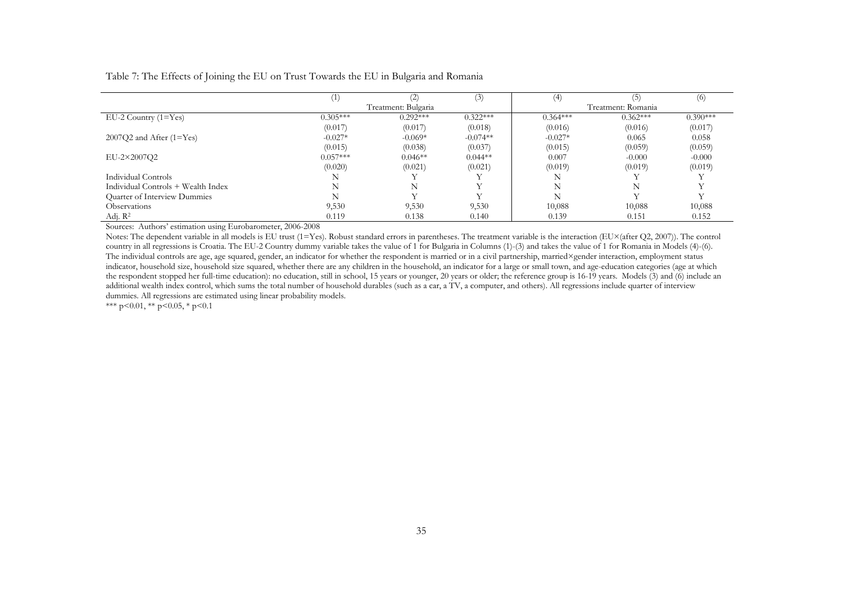Table 7: The Effects of Joining the EU on Trust Towards the EU in Bulgaria and Romania

|                                    |            |                     | (3)        | (4)        |                    | (6)        |
|------------------------------------|------------|---------------------|------------|------------|--------------------|------------|
|                                    |            | Treatment: Bulgaria |            |            | Treatment: Romania |            |
| $EU-2$ Country $(1=Yes)$           | $0.305***$ | $0.292***$          | $0.322***$ | $0.364***$ | $0.362***$         | $0.390***$ |
|                                    | (0.017)    | (0.017)             | (0.018)    | (0.016)    | (0.016)            | (0.017)    |
| $2007Q2$ and After (1=Yes)         | $-0.027*$  | $-0.069*$           | $-0.074**$ | $-0.027*$  | 0.065              | 0.058      |
|                                    | (0.015)    | (0.038)             | (0.037)    | (0.015)    | (0.059)            | (0.059)    |
| EU-2×2007Q2                        | $0.057***$ | $0.046**$           | $0.044**$  | 0.007      | $-0.000$           | $-0.000$   |
|                                    | (0.020)    | (0.021)             | (0.021)    | (0.019)    | (0.019)            | (0.019)    |
| Individual Controls                |            |                     |            |            |                    |            |
| Individual Controls + Wealth Index |            | N                   |            | N          | N                  |            |
| Quarter of Interview Dummies       |            |                     |            | N          |                    |            |
| Observations                       | 9,530      | 9,530               | 9,530      | 10,088     | 10,088             | 10,088     |
| Adj. R <sup>2</sup>                | 0.119      | 0.138               | 0.140      | 0.139      | 0.151              | 0.152      |

Sources: Authors' estimation using Eurobarometer, 2006-2008

Notes: The dependent variable in all models is EU trust (1=Yes). Robust standard errors in parentheses. The treatment variable is the interaction (EU×(after Q2, 2007)). The control country in all regressions is Croatia. The EU-2 Country dummy variable takes the value of 1 for Bulgaria in Columns (1)-(3) and takes the value of 1 for Romania in Models (4)-(6). The individual controls are age, age squared, gender, an indicator for whether the respondent is married or in a civil partnership, married×gender interaction, employment status indicator, household size, household size squared, whether there are any children in the household, an indicator for a large or small town, and age-education categories (age at which the respondent stopped her full-time education): no education, still in school, 15 years or younger, 20 years or older; the reference group is 16-19 years. Models (3) and (6) include an additional wealth index control, which sums the total number of household durables (such as a car, a TV, a computer, and others). All regressions include quarter of interview dummies. All regressions are estimated using linear probability models.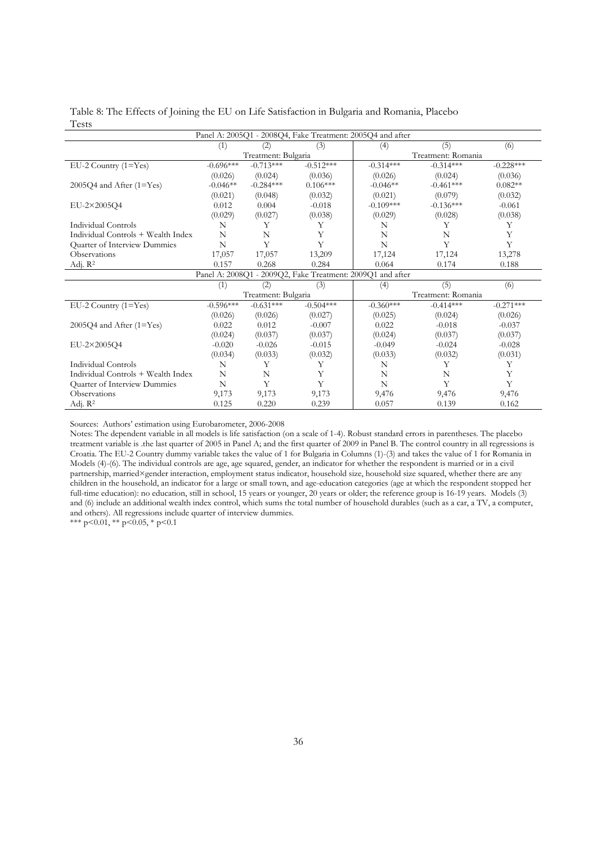|              |  | Table 8: The Effects of Joining the EU on Life Satisfaction in Bulgaria and Romania, Placebo |  |
|--------------|--|----------------------------------------------------------------------------------------------|--|
| <b>Tests</b> |  |                                                                                              |  |

| Panel A: 2005Q1 - 2008Q4, Fake Treatment: 2005Q4 and after |                                                            |                     |             |                    |                    |             |  |  |  |
|------------------------------------------------------------|------------------------------------------------------------|---------------------|-------------|--------------------|--------------------|-------------|--|--|--|
|                                                            | (1)                                                        | (2)                 | (3)         | (4)                | (5)                | (6)         |  |  |  |
|                                                            |                                                            | Treatment: Bulgaria |             | Treatment: Romania |                    |             |  |  |  |
| $EU-2$ Country $(1=Yes)$                                   | $-0.696***$                                                | $-0.713***$         | $-0.512***$ | $-0.314***$        | $-0.314***$        | $-0.228***$ |  |  |  |
|                                                            | (0.026)                                                    | (0.024)             | (0.036)     | (0.026)            | (0.024)            | (0.036)     |  |  |  |
| $2005Q4$ and After (1=Yes)                                 | $-0.046**$                                                 | $-0.284***$         | $0.106***$  | $-0.046**$         | $-0.461***$        | $0.082**$   |  |  |  |
|                                                            | (0.021)                                                    | (0.048)             | (0.032)     | (0.021)            | (0.079)            | (0.032)     |  |  |  |
| EU-2×2005Q4                                                | 0.012                                                      | 0.004               | $-0.018$    | $-0.109***$        | $-0.136***$        | $-0.061$    |  |  |  |
|                                                            | (0.029)                                                    | (0.027)             | (0.038)     | (0.029)            | (0.028)            | (0.038)     |  |  |  |
| Individual Controls                                        | N                                                          | Y                   | Υ           | N                  | Y                  | Υ           |  |  |  |
| Individual Controls + Wealth Index                         | N                                                          | N                   | Y           | N                  | N                  | Y           |  |  |  |
| Quarter of Interview Dummies                               | N                                                          | Y                   | Y           | N                  | Y                  | Y           |  |  |  |
| Observations                                               | 17,057                                                     | 17,057              | 13,209      | 17,124             | 17,124             | 13,278      |  |  |  |
| Adj. R <sup>2</sup>                                        | 0.157                                                      | 0.268               | 0.284       | 0.064              | 0.174              | 0.188       |  |  |  |
|                                                            | Panel A: 2008Q1 - 2009Q2, Fake Treatment: 2009Q1 and after |                     |             |                    |                    |             |  |  |  |
|                                                            | (1)                                                        | (2)                 | (3)         | (4)                | (5)                | (6)         |  |  |  |
|                                                            |                                                            | Treatment: Bulgaria |             |                    | Treatment: Romania |             |  |  |  |
| EU-2 Country (1=Yes)                                       | $-0.596***$                                                | $-0.631***$         | $-0.504***$ | $-0.360***$        | $-0.414***$        | $-0.271***$ |  |  |  |
|                                                            | (0.026)                                                    | (0.026)             | (0.027)     | (0.025)            | (0.024)            | (0.026)     |  |  |  |
| $2005Q4$ and After (1=Yes)                                 | 0.022                                                      | 0.012               | $-0.007$    | 0.022              | $-0.018$           | $-0.037$    |  |  |  |
|                                                            | (0.024)                                                    | (0.037)             | (0.037)     | (0.024)            | (0.037)            | (0.037)     |  |  |  |
| EU-2×2005Q4                                                | $-0.020$                                                   | $-0.026$            | $-0.015$    | $-0.049$           | $-0.024$           | $-0.028$    |  |  |  |
|                                                            | (0.034)                                                    | (0.033)             | (0.032)     | (0.033)            | (0.032)            | (0.031)     |  |  |  |
| <b>Individual Controls</b>                                 | N                                                          | Υ                   | Υ           | N                  | Y                  | Y           |  |  |  |
| Individual Controls + Wealth Index                         | N                                                          | N                   | Υ           | N                  | N                  | Y           |  |  |  |
| Quarter of Interview Dummies                               | N                                                          | Y                   | Y           | N                  | Y                  | Y           |  |  |  |
| <b>Observations</b>                                        | 9,173                                                      | 9,173               | 9,173       | 9,476              | 9,476              | 9,476       |  |  |  |
| Adj. $R^2$                                                 | 0.125                                                      | 0.220               | 0.239       | 0.057              | 0.139              | 0.162       |  |  |  |

Sources: Authors' estimation using Eurobarometer, 2006-2008

Notes: The dependent variable in all models is life satisfaction (on a scale of 1-4). Robust standard errors in parentheses. The placebo treatment variable is .the last quarter of 2005 in Panel A; and the first quarter of 2009 in Panel B. The control country in all regressions is Croatia. The EU-2 Country dummy variable takes the value of 1 for Bulgaria in Columns (1)-(3) and takes the value of 1 for Romania in Models (4)-(6). The individual controls are age, age squared, gender, an indicator for whether the respondent is married or in a civil partnership, married×gender interaction, employment status indicator, household size, household size squared, whether there are any children in the household, an indicator for a large or small town, and age-education categories (age at which the respondent stopped her full-time education): no education, still in school, 15 years or younger, 20 years or older; the reference group is 16-19 years. Models (3) and (6) include an additional wealth index control, which sums the total number of household durables (such as a car, a TV, a computer, and others). All regressions include quarter of interview dummies.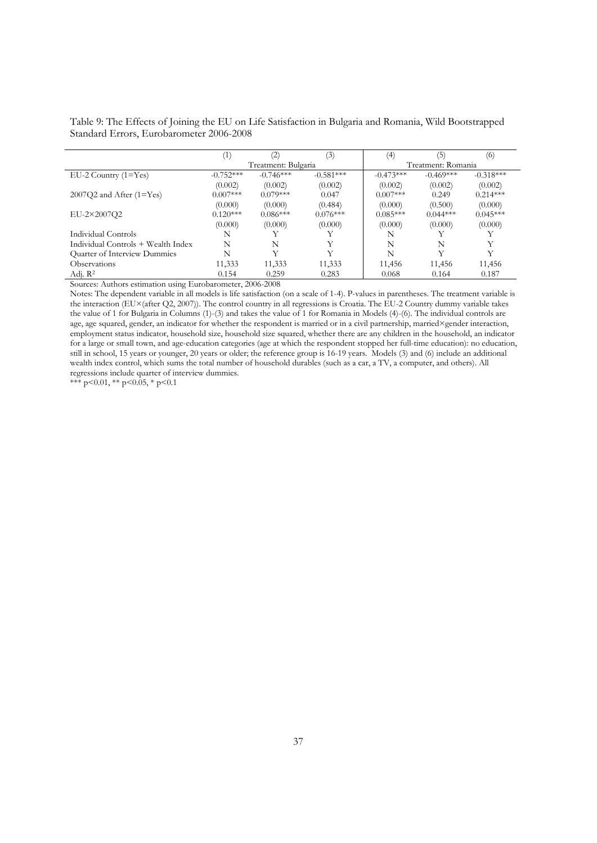|                                     | (1)         | (2)                 | (3)         | (4)                | [5]         | (6)         |
|-------------------------------------|-------------|---------------------|-------------|--------------------|-------------|-------------|
|                                     |             | Treatment: Bulgaria |             | Treatment: Romania |             |             |
| $EU-2$ Country $(1=Yes)$            | $-0.752***$ | $-0.746***$         | $-0.581***$ | $-0.473***$        | $-0.469***$ | $-0.318***$ |
|                                     | (0.002)     | (0.002)             | (0.002)     | (0.002)            | (0.002)     | (0.002)     |
| $2007Q2$ and After $(1=Yes)$        | $0.007***$  | $0.079***$          | 0.047       | $0.007***$         | 0.249       | $0.214***$  |
|                                     | (0.000)     | (0.000)             | (0.484)     | (0.000)            | (0.500)     | (0.000)     |
| EU-2×2007O2                         | $0.120***$  | $0.086***$          | $0.076***$  | $0.085***$         | $0.044***$  | $0.045***$  |
|                                     | (0.000)     | (0.000)             | (0.000)     | (0.000)            | (0.000)     | (0.000)     |
| Individual Controls                 | N           |                     |             | N                  |             |             |
| Individual Controls + Wealth Index  | N           | N                   | Y           | N                  | N           | Y           |
| <b>Ouarter of Interview Dummies</b> | N           | v                   |             | N                  | V           | v           |
| <b>Observations</b>                 | 11,333      | 11,333              | 11,333      | 11,456             | 11,456      | 11,456      |
| Adj. $R^2$                          | 0.154       | 0.259               | 0.283       | 0.068              | 0.164       | 0.187       |

Table 9: The Effects of Joining the EU on Life Satisfaction in Bulgaria and Romania, Wild Bootstrapped Standard Errors, Eurobarometer 2006-2008

Sources: Authors estimation using Eurobarometer, 2006-2008

Notes: The dependent variable in all models is life satisfaction (on a scale of 1-4). P-values in parentheses. The treatment variable is the interaction (EU×(after Q2, 2007)). The control country in all regressions is Croatia. The EU-2 Country dummy variable takes the value of 1 for Bulgaria in Columns (1)-(3) and takes the value of 1 for Romania in Models (4)-(6). The individual controls are age, age squared, gender, an indicator for whether the respondent is married or in a civil partnership, married×gender interaction, employment status indicator, household size, household size squared, whether there are any children in the household, an indicator for a large or small town, and age-education categories (age at which the respondent stopped her full-time education): no education, still in school, 15 years or younger, 20 years or older; the reference group is 16-19 years. Models (3) and (6) include an additional wealth index control, which sums the total number of household durables (such as a car, a TV, a computer, and others). All regressions include quarter of interview dummies.